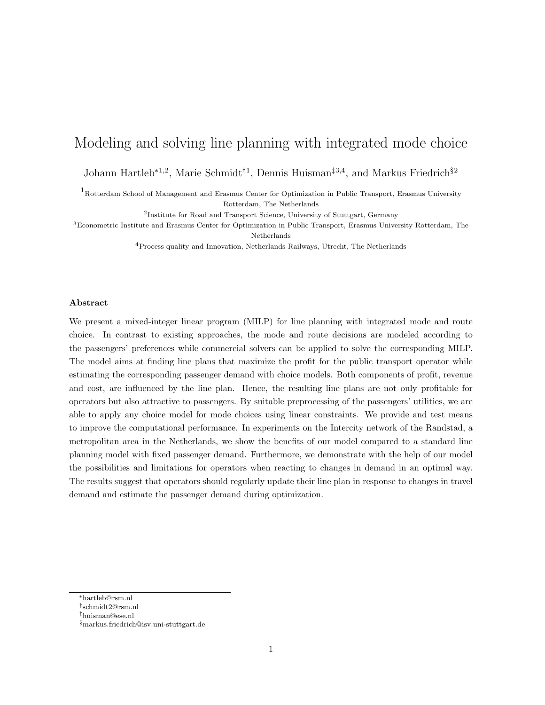# Modeling and solving line planning with integrated mode choice

Johann Hartleb<sup>∗</sup>1,2, Marie Schmidt†<sup>1</sup> , Dennis Huisman‡3,4, and Markus Friedrich§<sup>2</sup>

<sup>1</sup>Rotterdam School of Management and Erasmus Center for Optimization in Public Transport, Erasmus University Rotterdam, The Netherlands

<sup>2</sup>Institute for Road and Transport Science, University of Stuttgart, Germany

<sup>3</sup>Econometric Institute and Erasmus Center for Optimization in Public Transport, Erasmus University Rotterdam, The Netherlands

<sup>4</sup>Process quality and Innovation, Netherlands Railways, Utrecht, The Netherlands

#### Abstract

We present a mixed-integer linear program (MILP) for line planning with integrated mode and route choice. In contrast to existing approaches, the mode and route decisions are modeled according to the passengers' preferences while commercial solvers can be applied to solve the corresponding MILP. The model aims at finding line plans that maximize the profit for the public transport operator while estimating the corresponding passenger demand with choice models. Both components of profit, revenue and cost, are influenced by the line plan. Hence, the resulting line plans are not only profitable for operators but also attractive to passengers. By suitable preprocessing of the passengers' utilities, we are able to apply any choice model for mode choices using linear constraints. We provide and test means to improve the computational performance. In experiments on the Intercity network of the Randstad, a metropolitan area in the Netherlands, we show the benefits of our model compared to a standard line planning model with fixed passenger demand. Furthermore, we demonstrate with the help of our model the possibilities and limitations for operators when reacting to changes in demand in an optimal way. The results suggest that operators should regularly update their line plan in response to changes in travel demand and estimate the passenger demand during optimization.

<sup>∗</sup>hartleb@rsm.nl

<sup>†</sup> schmidt2@rsm.nl

<sup>‡</sup>huisman@ese.nl

<sup>§</sup>markus.friedrich@isv.uni-stuttgart.de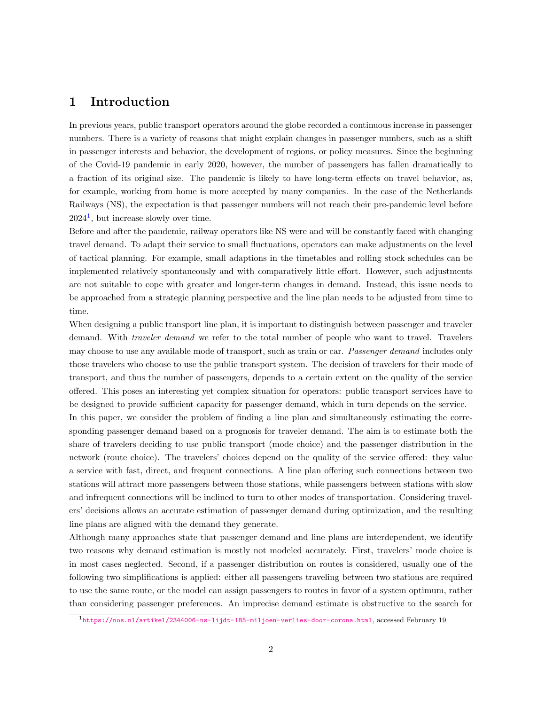# 1 Introduction

In previous years, public transport operators around the globe recorded a continuous increase in passenger numbers. There is a variety of reasons that might explain changes in passenger numbers, such as a shift in passenger interests and behavior, the development of regions, or policy measures. Since the beginning of the Covid-19 pandemic in early 2020, however, the number of passengers has fallen dramatically to a fraction of its original size. The pandemic is likely to have long-term effects on travel behavior, as, for example, working from home is more accepted by many companies. In the case of the Netherlands Railways (NS), the expectation is that passenger numbers will not reach their pre-pandemic level before  $2024<sup>1</sup>$  $2024<sup>1</sup>$  $2024<sup>1</sup>$ , but increase slowly over time.

Before and after the pandemic, railway operators like NS were and will be constantly faced with changing travel demand. To adapt their service to small fluctuations, operators can make adjustments on the level of tactical planning. For example, small adaptions in the timetables and rolling stock schedules can be implemented relatively spontaneously and with comparatively little effort. However, such adjustments are not suitable to cope with greater and longer-term changes in demand. Instead, this issue needs to be approached from a strategic planning perspective and the line plan needs to be adjusted from time to time.

When designing a public transport line plan, it is important to distinguish between passenger and traveler demand. With *traveler demand* we refer to the total number of people who want to travel. Travelers may choose to use any available mode of transport, such as train or car. Passenger demand includes only those travelers who choose to use the public transport system. The decision of travelers for their mode of transport, and thus the number of passengers, depends to a certain extent on the quality of the service offered. This poses an interesting yet complex situation for operators: public transport services have to be designed to provide sufficient capacity for passenger demand, which in turn depends on the service.

In this paper, we consider the problem of finding a line plan and simultaneously estimating the corresponding passenger demand based on a prognosis for traveler demand. The aim is to estimate both the share of travelers deciding to use public transport (mode choice) and the passenger distribution in the network (route choice). The travelers' choices depend on the quality of the service offered: they value a service with fast, direct, and frequent connections. A line plan offering such connections between two stations will attract more passengers between those stations, while passengers between stations with slow and infrequent connections will be inclined to turn to other modes of transportation. Considering travelers' decisions allows an accurate estimation of passenger demand during optimization, and the resulting line plans are aligned with the demand they generate.

Although many approaches state that passenger demand and line plans are interdependent, we identify two reasons why demand estimation is mostly not modeled accurately. First, travelers' mode choice is in most cases neglected. Second, if a passenger distribution on routes is considered, usually one of the following two simplifications is applied: either all passengers traveling between two stations are required to use the same route, or the model can assign passengers to routes in favor of a system optimum, rather than considering passenger preferences. An imprecise demand estimate is obstructive to the search for

<span id="page-1-0"></span> $1_{\text{https://nos.nl/artikel/2344006-ns-lijdt-185-miljoen-verlies-door-corona.html, accessed February 19}}$  $1_{\text{https://nos.nl/artikel/2344006-ns-lijdt-185-miljoen-verlies-door-corona.html, accessed February 19}}$  $1_{\text{https://nos.nl/artikel/2344006-ns-lijdt-185-miljoen-verlies-door-corona.html, accessed February 19}}$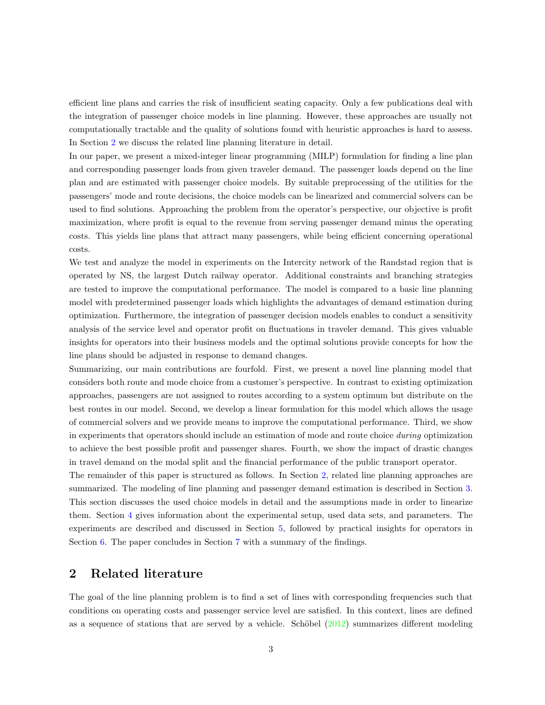efficient line plans and carries the risk of insufficient seating capacity. Only a few publications deal with the integration of passenger choice models in line planning. However, these approaches are usually not computationally tractable and the quality of solutions found with heuristic approaches is hard to assess. In Section [2](#page-2-0) we discuss the related line planning literature in detail.

In our paper, we present a mixed-integer linear programming (MILP) formulation for finding a line plan and corresponding passenger loads from given traveler demand. The passenger loads depend on the line plan and are estimated with passenger choice models. By suitable preprocessing of the utilities for the passengers' mode and route decisions, the choice models can be linearized and commercial solvers can be used to find solutions. Approaching the problem from the operator's perspective, our objective is profit maximization, where profit is equal to the revenue from serving passenger demand minus the operating costs. This yields line plans that attract many passengers, while being efficient concerning operational costs.

We test and analyze the model in experiments on the Intercity network of the Randstad region that is operated by NS, the largest Dutch railway operator. Additional constraints and branching strategies are tested to improve the computational performance. The model is compared to a basic line planning model with predetermined passenger loads which highlights the advantages of demand estimation during optimization. Furthermore, the integration of passenger decision models enables to conduct a sensitivity analysis of the service level and operator profit on fluctuations in traveler demand. This gives valuable insights for operators into their business models and the optimal solutions provide concepts for how the line plans should be adjusted in response to demand changes.

Summarizing, our main contributions are fourfold. First, we present a novel line planning model that considers both route and mode choice from a customer's perspective. In contrast to existing optimization approaches, passengers are not assigned to routes according to a system optimum but distribute on the best routes in our model. Second, we develop a linear formulation for this model which allows the usage of commercial solvers and we provide means to improve the computational performance. Third, we show in experiments that operators should include an estimation of mode and route choice during optimization to achieve the best possible profit and passenger shares. Fourth, we show the impact of drastic changes in travel demand on the modal split and the financial performance of the public transport operator.

The remainder of this paper is structured as follows. In Section [2,](#page-2-0) related line planning approaches are summarized. The modeling of line planning and passenger demand estimation is described in Section [3.](#page-4-0) This section discusses the used choice models in detail and the assumptions made in order to linearize them. Section [4](#page-12-0) gives information about the experimental setup, used data sets, and parameters. The experiments are described and discussed in Section [5,](#page-14-0) followed by practical insights for operators in Section [6.](#page-17-0) The paper concludes in Section [7](#page-18-0) with a summary of the findings.

# <span id="page-2-0"></span>2 Related literature

The goal of the line planning problem is to find a set of lines with corresponding frequencies such that conditions on operating costs and passenger service level are satisfied. In this context, lines are defined as a sequence of stations that are served by a vehicle. Schöbel  $(2012)$  summarizes different modeling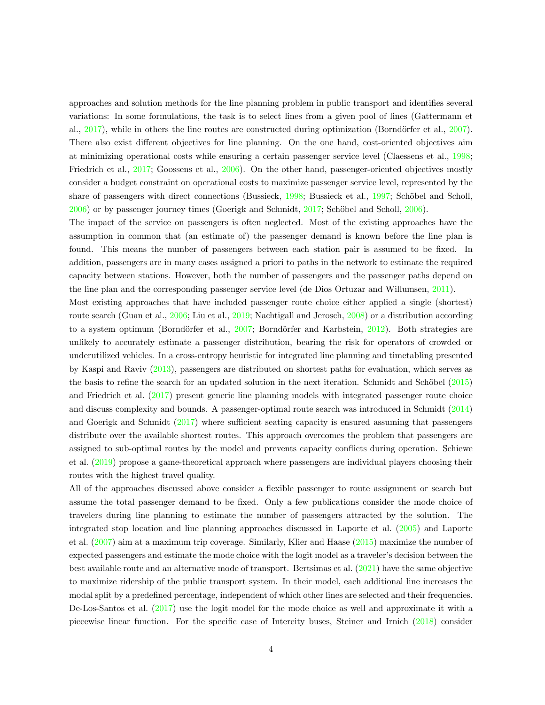approaches and solution methods for the line planning problem in public transport and identifies several variations: In some formulations, the task is to select lines from a given pool of lines (Gattermann et al., [2017\)](#page-21-0), while in others the line routes are constructed during optimization (Borndörfer et al., [2007\)](#page-21-1). There also exist different objectives for line planning. On the one hand, cost-oriented objectives aim at minimizing operational costs while ensuring a certain passenger service level (Claessens et al., [1998;](#page-21-2) Friedrich et al., [2017;](#page-21-3) Goossens et al., [2006\)](#page-21-4). On the other hand, passenger-oriented objectives mostly consider a budget constraint on operational costs to maximize passenger service level, represented by the share of passengers with direct connections (Bussieck, [1998;](#page-21-5) Bussieck et al., [1997;](#page-21-6) Schöbel and Scholl,  $2006$ ) or by passenger journey times (Goerigk and Schmidt,  $2017$ ; Schöbel and Scholl,  $2006$ ).

The impact of the service on passengers is often neglected. Most of the existing approaches have the assumption in common that (an estimate of) the passenger demand is known before the line plan is found. This means the number of passengers between each station pair is assumed to be fixed. In addition, passengers are in many cases assigned a priori to paths in the network to estimate the required capacity between stations. However, both the number of passengers and the passenger paths depend on the line plan and the corresponding passenger service level (de Dios Ortuzar and Willumsen, [2011\)](#page-21-8).

Most existing approaches that have included passenger route choice either applied a single (shortest) route search (Guan et al., [2006;](#page-21-9) Liu et al., [2019;](#page-22-2) Nachtigall and Jerosch, [2008\)](#page-22-3) or a distribution according to a system optimum (Borndörfer et al., [2007;](#page-21-1) Borndörfer and Karbstein, [2012\)](#page-21-10). Both strategies are unlikely to accurately estimate a passenger distribution, bearing the risk for operators of crowded or underutilized vehicles. In a cross-entropy heuristic for integrated line planning and timetabling presented by Kaspi and Raviv [\(2013\)](#page-21-11), passengers are distributed on shortest paths for evaluation, which serves as the basis to refine the search for an updated solution in the next iteration. Schmidt and Schöbel  $(2015)$ and Friedrich et al. [\(2017\)](#page-21-3) present generic line planning models with integrated passenger route choice and discuss complexity and bounds. A passenger-optimal route search was introduced in Schmidt [\(2014\)](#page-22-5) and Goerigk and Schmidt [\(2017\)](#page-21-7) where sufficient seating capacity is ensured assuming that passengers distribute over the available shortest routes. This approach overcomes the problem that passengers are assigned to sub-optimal routes by the model and prevents capacity conflicts during operation. Schiewe et al. [\(2019\)](#page-22-6) propose a game-theoretical approach where passengers are individual players choosing their routes with the highest travel quality.

All of the approaches discussed above consider a flexible passenger to route assignment or search but assume the total passenger demand to be fixed. Only a few publications consider the mode choice of travelers during line planning to estimate the number of passengers attracted by the solution. The integrated stop location and line planning approaches discussed in Laporte et al. [\(2005\)](#page-22-7) and Laporte et al. [\(2007\)](#page-22-8) aim at a maximum trip coverage. Similarly, Klier and Haase [\(2015\)](#page-22-9) maximize the number of expected passengers and estimate the mode choice with the logit model as a traveler's decision between the best available route and an alternative mode of transport. Bertsimas et al. [\(2021\)](#page-21-12) have the same objective to maximize ridership of the public transport system. In their model, each additional line increases the modal split by a predefined percentage, independent of which other lines are selected and their frequencies. De-Los-Santos et al. [\(2017\)](#page-22-10) use the logit model for the mode choice as well and approximate it with a piecewise linear function. For the specific case of Intercity buses, Steiner and Irnich [\(2018\)](#page-22-11) consider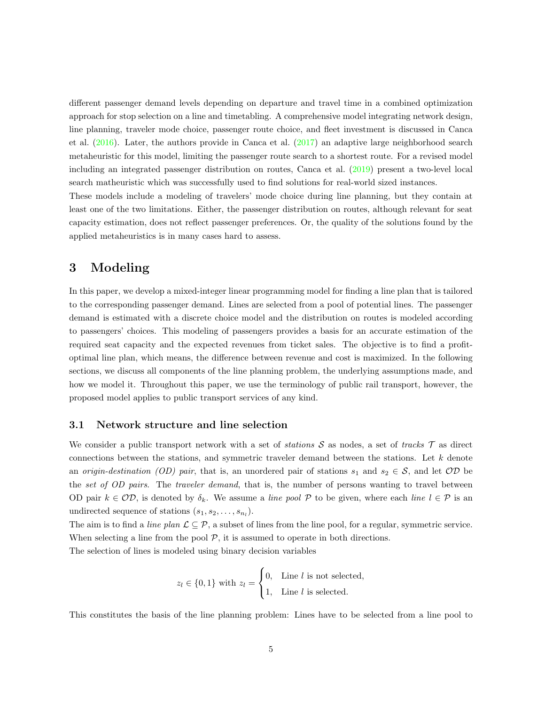different passenger demand levels depending on departure and travel time in a combined optimization approach for stop selection on a line and timetabling. A comprehensive model integrating network design, line planning, traveler mode choice, passenger route choice, and fleet investment is discussed in Canca et al. [\(2016\)](#page-21-13). Later, the authors provide in Canca et al. [\(2017\)](#page-21-14) an adaptive large neighborhood search metaheuristic for this model, limiting the passenger route search to a shortest route. For a revised model including an integrated passenger distribution on routes, Canca et al. [\(2019\)](#page-21-15) present a two-level local search matheuristic which was successfully used to find solutions for real-world sized instances.

These models include a modeling of travelers' mode choice during line planning, but they contain at least one of the two limitations. Either, the passenger distribution on routes, although relevant for seat capacity estimation, does not reflect passenger preferences. Or, the quality of the solutions found by the applied metaheuristics is in many cases hard to assess.

# <span id="page-4-0"></span>3 Modeling

In this paper, we develop a mixed-integer linear programming model for finding a line plan that is tailored to the corresponding passenger demand. Lines are selected from a pool of potential lines. The passenger demand is estimated with a discrete choice model and the distribution on routes is modeled according to passengers' choices. This modeling of passengers provides a basis for an accurate estimation of the required seat capacity and the expected revenues from ticket sales. The objective is to find a profitoptimal line plan, which means, the difference between revenue and cost is maximized. In the following sections, we discuss all components of the line planning problem, the underlying assumptions made, and how we model it. Throughout this paper, we use the terminology of public rail transport, however, the proposed model applies to public transport services of any kind.

## 3.1 Network structure and line selection

We consider a public transport network with a set of *stations*  $S$  as nodes, a set of *tracks*  $\mathcal{T}$  as direct connections between the stations, and symmetric traveler demand between the stations. Let k denote an origin-destination (OD) pair, that is, an unordered pair of stations  $s_1$  and  $s_2 \in S$ , and let  $OD$  be the set of OD pairs. The traveler demand, that is, the number of persons wanting to travel between OD pair  $k \in \mathcal{OD}$ , is denoted by  $\delta_k$ . We assume a line pool P to be given, where each line  $l \in \mathcal{P}$  is an undirected sequence of stations  $(s_1, s_2, \ldots, s_{n_l})$ .

The aim is to find a *line plan*  $\mathcal{L} \subseteq \mathcal{P}$ , a subset of lines from the line pool, for a regular, symmetric service. When selecting a line from the pool  $P$ , it is assumed to operate in both directions.

The selection of lines is modeled using binary decision variables

$$
z_l \in \{0, 1\} \text{ with } z_l = \begin{cases} 0, & \text{Line } l \text{ is not selected,} \\ 1, & \text{Line } l \text{ is selected.} \end{cases}
$$

This constitutes the basis of the line planning problem: Lines have to be selected from a line pool to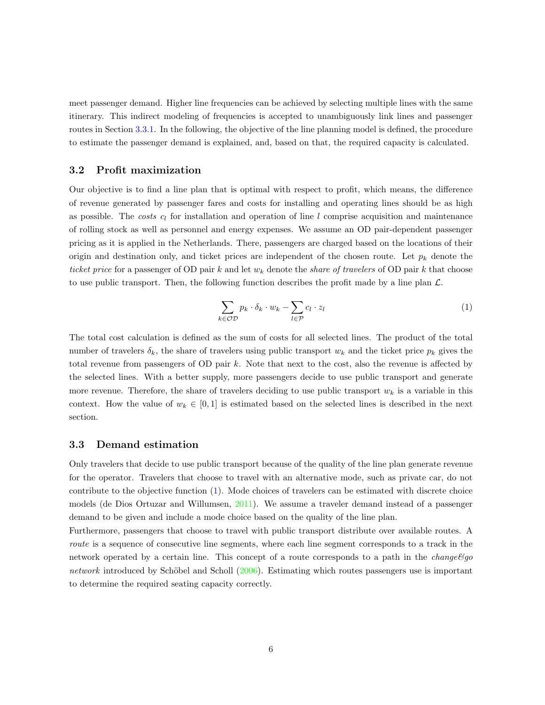meet passenger demand. Higher line frequencies can be achieved by selecting multiple lines with the same itinerary. This indirect modeling of frequencies is accepted to unambiguously link lines and passenger routes in Section [3.3.1.](#page-6-0) In the following, the objective of the line planning model is defined, the procedure to estimate the passenger demand is explained, and, based on that, the required capacity is calculated.

## <span id="page-5-2"></span>3.2 Profit maximization

Our objective is to find a line plan that is optimal with respect to profit, which means, the difference of revenue generated by passenger fares and costs for installing and operating lines should be as high as possible. The costs  $c_l$  for installation and operation of line l comprise acquisition and maintenance of rolling stock as well as personnel and energy expenses. We assume an OD pair-dependent passenger pricing as it is applied in the Netherlands. There, passengers are charged based on the locations of their origin and destination only, and ticket prices are independent of the chosen route. Let  $p_k$  denote the ticket price for a passenger of OD pair k and let  $w_k$  denote the *share of travelers* of OD pair k that choose to use public transport. Then, the following function describes the profit made by a line plan  $\mathcal{L}$ .

<span id="page-5-0"></span>
$$
\sum_{k \in \mathcal{OD}} p_k \cdot \delta_k \cdot w_k - \sum_{l \in \mathcal{P}} c_l \cdot z_l \tag{1}
$$

The total cost calculation is defined as the sum of costs for all selected lines. The product of the total number of travelers  $\delta_k$ , the share of travelers using public transport  $w_k$  and the ticket price  $p_k$  gives the total revenue from passengers of OD pair k. Note that next to the cost, also the revenue is affected by the selected lines. With a better supply, more passengers decide to use public transport and generate more revenue. Therefore, the share of travelers deciding to use public transport  $w_k$  is a variable in this context. How the value of  $w_k \in [0,1]$  is estimated based on the selected lines is described in the next section.

### <span id="page-5-1"></span>3.3 Demand estimation

Only travelers that decide to use public transport because of the quality of the line plan generate revenue for the operator. Travelers that choose to travel with an alternative mode, such as private car, do not contribute to the objective function [\(1\)](#page-5-0). Mode choices of travelers can be estimated with discrete choice models (de Dios Ortuzar and Willumsen, [2011\)](#page-21-8). We assume a traveler demand instead of a passenger demand to be given and include a mode choice based on the quality of the line plan.

Furthermore, passengers that choose to travel with public transport distribute over available routes. A route is a sequence of consecutive line segments, where each line segment corresponds to a track in the network operated by a certain line. This concept of a route corresponds to a path in the *change* $\mathcal{C}g$ o network introduced by Schöbel and Scholl  $(2006)$ . Estimating which routes passengers use is important to determine the required seating capacity correctly.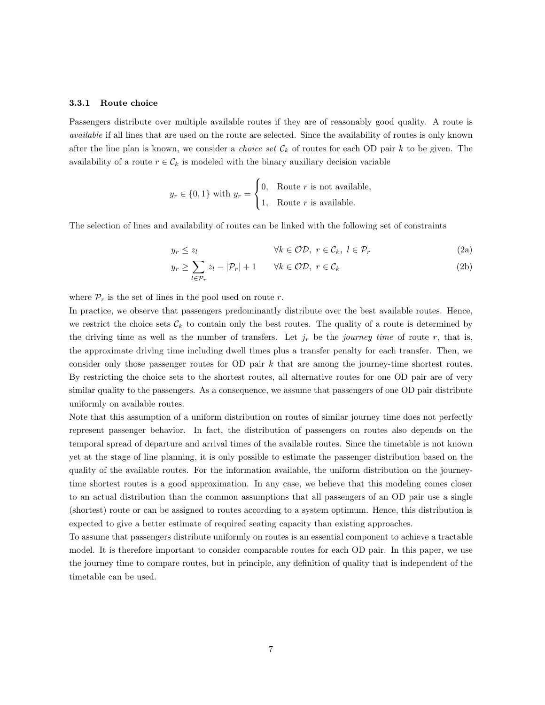#### <span id="page-6-0"></span>3.3.1 Route choice

Passengers distribute over multiple available routes if they are of reasonably good quality. A route is available if all lines that are used on the route are selected. Since the availability of routes is only known after the line plan is known, we consider a *choice set*  $\mathcal{C}_k$  of routes for each OD pair k to be given. The availability of a route  $r \in \mathcal{C}_k$  is modeled with the binary auxiliary decision variable

$$
y_r \in \{0, 1\}
$$
 with  $y_r = \begin{cases} 0, & \text{Route } r \text{ is not available,} \\ 1, & \text{Route } r \text{ is available.} \end{cases}$ 

The selection of lines and availability of routes can be linked with the following set of constraints

<span id="page-6-1"></span>
$$
y_r \le z_l \qquad \qquad \forall k \in \mathcal{OD}, \ r \in \mathcal{C}_k, \ l \in \mathcal{P}_r \tag{2a}
$$

$$
y_r \ge \sum_{l \in \mathcal{P}_r} z_l - |\mathcal{P}_r| + 1 \qquad \forall k \in \mathcal{OD}, \ r \in \mathcal{C}_k \tag{2b}
$$

where  $\mathcal{P}_r$  is the set of lines in the pool used on route r.

In practice, we observe that passengers predominantly distribute over the best available routes. Hence, we restrict the choice sets  $\mathcal{C}_k$  to contain only the best routes. The quality of a route is determined by the driving time as well as the number of transfers. Let  $j_r$  be the journey time of route r, that is, the approximate driving time including dwell times plus a transfer penalty for each transfer. Then, we consider only those passenger routes for OD pair  $k$  that are among the journey-time shortest routes. By restricting the choice sets to the shortest routes, all alternative routes for one OD pair are of very similar quality to the passengers. As a consequence, we assume that passengers of one OD pair distribute uniformly on available routes.

Note that this assumption of a uniform distribution on routes of similar journey time does not perfectly represent passenger behavior. In fact, the distribution of passengers on routes also depends on the temporal spread of departure and arrival times of the available routes. Since the timetable is not known yet at the stage of line planning, it is only possible to estimate the passenger distribution based on the quality of the available routes. For the information available, the uniform distribution on the journeytime shortest routes is a good approximation. In any case, we believe that this modeling comes closer to an actual distribution than the common assumptions that all passengers of an OD pair use a single (shortest) route or can be assigned to routes according to a system optimum. Hence, this distribution is expected to give a better estimate of required seating capacity than existing approaches.

To assume that passengers distribute uniformly on routes is an essential component to achieve a tractable model. It is therefore important to consider comparable routes for each OD pair. In this paper, we use the journey time to compare routes, but in principle, any definition of quality that is independent of the timetable can be used.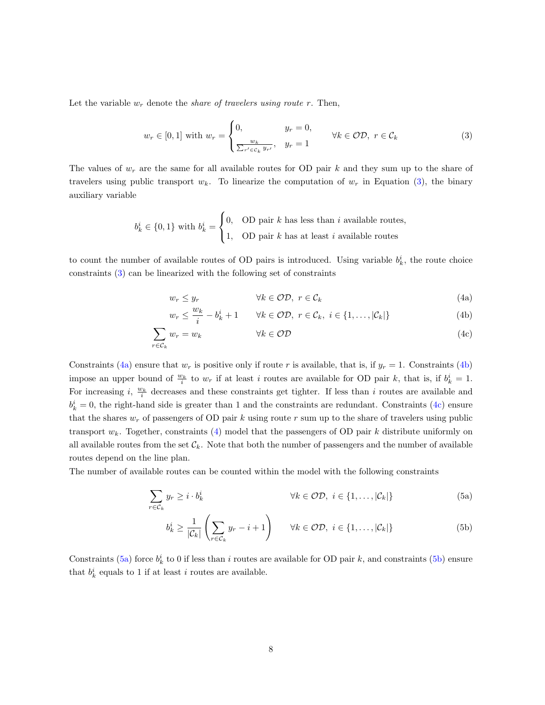Let the variable  $w_r$  denote the *share of travelers using route r*. Then,

<span id="page-7-0"></span>
$$
w_r \in [0,1] \text{ with } w_r = \begin{cases} 0, & y_r = 0, \\ \frac{w_k}{\sum_{r' \in C_k} y_{r'}}, & y_r = 1 \end{cases} \forall k \in \mathcal{OD}, \ r \in \mathcal{C}_k
$$
 (3)

The values of  $w_r$  are the same for all available routes for OD pair k and they sum up to the share of travelers using public transport  $w_k$ . To linearize the computation of  $w_r$  in Equation [\(3\)](#page-7-0), the binary auxiliary variable

$$
b_k^i \in \{0, 1\} \text{ with } b_k^i = \begin{cases} 0, & \text{OD pair } k \text{ has less than } i \text{ available routes,} \\ 1, & \text{OD pair } k \text{ has at least } i \text{ available routes} \end{cases}
$$

to count the number of available routes of OD pairs is introduced. Using variable  $b_k^i$ , the route choice constraints [\(3\)](#page-7-0) can be linearized with the following set of constraints

<span id="page-7-4"></span><span id="page-7-3"></span><span id="page-7-2"></span><span id="page-7-1"></span>
$$
w_r \le y_r \qquad \forall k \in \mathcal{OD}, \ r \in \mathcal{C}_k \tag{4a}
$$

$$
w_r \le \frac{w_k}{i} - b_k^i + 1 \qquad \forall k \in \mathcal{OD}, \ r \in \mathcal{C}_k, \ i \in \{1, \dots, |\mathcal{C}_k|\}
$$
 (4b)

$$
\sum_{r \in \mathcal{C}_k} w_r = w_k \qquad \qquad \forall k \in \mathcal{OD} \tag{4c}
$$

Constraints [\(4a\)](#page-7-1) ensure that  $w_r$  is positive only if route r is available, that is, if  $y_r = 1$ . Constraints [\(4b\)](#page-7-2) impose an upper bound of  $\frac{w_k}{i}$  to  $w_r$  if at least i routes are available for OD pair k, that is, if  $b_k^i = 1$ . For increasing i,  $\frac{w_k}{i}$  decreases and these constraints get tighter. If less than i routes are available and  $b_k^i = 0$ , the right-hand side is greater than 1 and the constraints are redundant. Constraints [\(4c\)](#page-7-3) ensure that the shares  $w_r$  of passengers of OD pair k using route r sum up to the share of travelers using public transport  $w_k$ . Together, constraints [\(4\)](#page-7-4) model that the passengers of OD pair k distribute uniformly on all available routes from the set  $\mathcal{C}_k$ . Note that both the number of passengers and the number of available routes depend on the line plan.

The number of available routes can be counted within the model with the following constraints

$$
\sum_{r \in \mathcal{C}_k} y_r \geq i \cdot b_k^i \qquad \forall k \in \mathcal{OD}, \ i \in \{1, \dots, |\mathcal{C}_k|\} \tag{5a}
$$

<span id="page-7-7"></span><span id="page-7-6"></span><span id="page-7-5"></span>
$$
b_k^i \ge \frac{1}{|\mathcal{C}_k|} \left( \sum_{r \in \mathcal{C}_k} y_r - i + 1 \right) \qquad \forall k \in \mathcal{OD}, \ i \in \{1, \dots, |\mathcal{C}_k| \} \tag{5b}
$$

Constraints [\(5a\)](#page-7-5) force  $b_k^i$  to 0 if less than i routes are available for OD pair k, and constraints [\(5b\)](#page-7-6) ensure that  $b_k^i$  equals to 1 if at least i routes are available.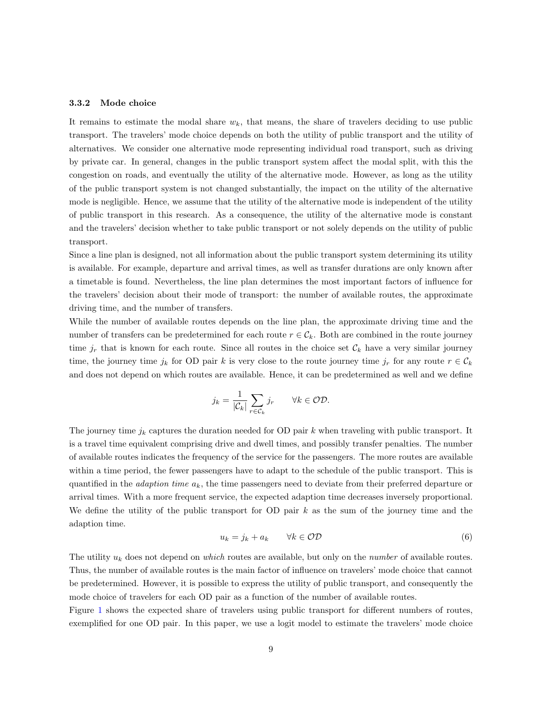#### 3.3.2 Mode choice

It remains to estimate the modal share  $w_k$ , that means, the share of travelers deciding to use public transport. The travelers' mode choice depends on both the utility of public transport and the utility of alternatives. We consider one alternative mode representing individual road transport, such as driving by private car. In general, changes in the public transport system affect the modal split, with this the congestion on roads, and eventually the utility of the alternative mode. However, as long as the utility of the public transport system is not changed substantially, the impact on the utility of the alternative mode is negligible. Hence, we assume that the utility of the alternative mode is independent of the utility of public transport in this research. As a consequence, the utility of the alternative mode is constant and the travelers' decision whether to take public transport or not solely depends on the utility of public transport.

Since a line plan is designed, not all information about the public transport system determining its utility is available. For example, departure and arrival times, as well as transfer durations are only known after a timetable is found. Nevertheless, the line plan determines the most important factors of influence for the travelers' decision about their mode of transport: the number of available routes, the approximate driving time, and the number of transfers.

While the number of available routes depends on the line plan, the approximate driving time and the number of transfers can be predetermined for each route  $r \in \mathcal{C}_k$ . Both are combined in the route journey time  $j_r$  that is known for each route. Since all routes in the choice set  $\mathcal{C}_k$  have a very similar journey time, the journey time  $j_k$  for OD pair k is very close to the route journey time  $j_r$  for any route  $r \in \mathcal{C}_k$ and does not depend on which routes are available. Hence, it can be predetermined as well and we define

$$
j_k = \frac{1}{|\mathcal{C}_k|} \sum_{r \in \mathcal{C}_k} j_r \qquad \forall k \in \mathcal{OD}.
$$

The journey time  $j_k$  captures the duration needed for OD pair k when traveling with public transport. It is a travel time equivalent comprising drive and dwell times, and possibly transfer penalties. The number of available routes indicates the frequency of the service for the passengers. The more routes are available within a time period, the fewer passengers have to adapt to the schedule of the public transport. This is quantified in the *adaption time*  $a_k$ , the time passengers need to deviate from their preferred departure or arrival times. With a more frequent service, the expected adaption time decreases inversely proportional. We define the utility of the public transport for OD pair  $k$  as the sum of the journey time and the adaption time.

<span id="page-8-0"></span>
$$
u_k = j_k + a_k \qquad \forall k \in \mathcal{OD} \tag{6}
$$

The utility  $u_k$  does not depend on *which* routes are available, but only on the *number* of available routes. Thus, the number of available routes is the main factor of influence on travelers' mode choice that cannot be predetermined. However, it is possible to express the utility of public transport, and consequently the mode choice of travelers for each OD pair as a function of the number of available routes.

Figure [1](#page-9-0) shows the expected share of travelers using public transport for different numbers of routes, exemplified for one OD pair. In this paper, we use a logit model to estimate the travelers' mode choice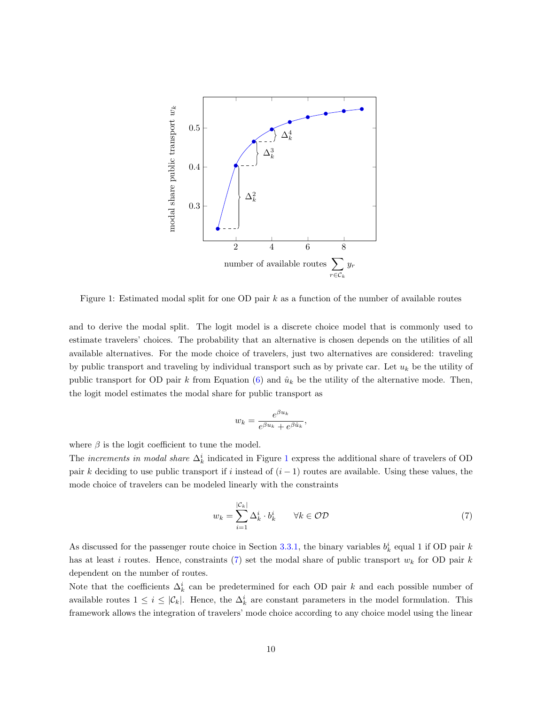

<span id="page-9-0"></span>Figure 1: Estimated modal split for one OD pair  $k$  as a function of the number of available routes

and to derive the modal split. The logit model is a discrete choice model that is commonly used to estimate travelers' choices. The probability that an alternative is chosen depends on the utilities of all available alternatives. For the mode choice of travelers, just two alternatives are considered: traveling by public transport and traveling by individual transport such as by private car. Let  $u_k$  be the utility of public transport for OD pair k from Equation [\(6\)](#page-8-0) and  $\hat{u}_k$  be the utility of the alternative mode. Then, the logit model estimates the modal share for public transport as

$$
w_k = \frac{e^{\beta u_k}}{e^{\beta u_k} + e^{\beta \hat{u}_k}},
$$

where  $\beta$  is the logit coefficient to tune the model.

The *increments in modal share*  $\Delta_k^i$  indicated in Figure [1](#page-9-0) express the additional share of travelers of OD pair k deciding to use public transport if i instead of  $(i - 1)$  routes are available. Using these values, the mode choice of travelers can be modeled linearly with the constraints

<span id="page-9-1"></span>
$$
w_k = \sum_{i=1}^{|\mathcal{C}_k|} \Delta_k^i \cdot b_k^i \qquad \forall k \in \mathcal{OD}
$$
 (7)

As discussed for the passenger route choice in Section [3.3.1,](#page-6-0) the binary variables  $b_k^i$  equal 1 if OD pair k has at least i routes. Hence, constraints [\(7\)](#page-9-1) set the modal share of public transport  $w_k$  for OD pair k dependent on the number of routes.

Note that the coefficients  $\Delta_k^i$  can be predetermined for each OD pair k and each possible number of available routes  $1 \leq i \leq |\mathcal{C}_k|$ . Hence, the  $\Delta_k^i$  are constant parameters in the model formulation. This framework allows the integration of travelers' mode choice according to any choice model using the linear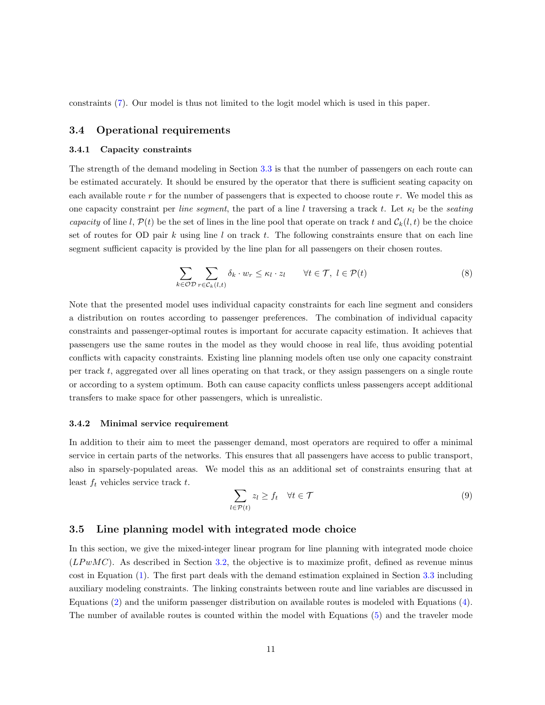constraints [\(7\)](#page-9-1). Our model is thus not limited to the logit model which is used in this paper.

## <span id="page-10-0"></span>3.4 Operational requirements

#### 3.4.1 Capacity constraints

The strength of the demand modeling in Section [3.3](#page-5-1) is that the number of passengers on each route can be estimated accurately. It should be ensured by the operator that there is sufficient seating capacity on each available route r for the number of passengers that is expected to choose route r. We model this as one capacity constraint per line segment, the part of a line l traversing a track t. Let  $\kappa_l$  be the seating capacity of line l,  $\mathcal{P}(t)$  be the set of lines in the line pool that operate on track t and  $\mathcal{C}_k(l,t)$  be the choice set of routes for OD pair  $k$  using line  $l$  on track  $t$ . The following constraints ensure that on each line segment sufficient capacity is provided by the line plan for all passengers on their chosen routes.

<span id="page-10-1"></span>
$$
\sum_{k \in \mathcal{OD}} \sum_{r \in \mathcal{C}_k(l,t)} \delta_k \cdot w_r \le \kappa_l \cdot z_l \qquad \forall t \in \mathcal{T}, \ l \in \mathcal{P}(t)
$$
\n
$$
(8)
$$

Note that the presented model uses individual capacity constraints for each line segment and considers a distribution on routes according to passenger preferences. The combination of individual capacity constraints and passenger-optimal routes is important for accurate capacity estimation. It achieves that passengers use the same routes in the model as they would choose in real life, thus avoiding potential conflicts with capacity constraints. Existing line planning models often use only one capacity constraint per track  $t$ , aggregated over all lines operating on that track, or they assign passengers on a single route or according to a system optimum. Both can cause capacity conflicts unless passengers accept additional transfers to make space for other passengers, which is unrealistic.

#### 3.4.2 Minimal service requirement

In addition to their aim to meet the passenger demand, most operators are required to offer a minimal service in certain parts of the networks. This ensures that all passengers have access to public transport, also in sparsely-populated areas. We model this as an additional set of constraints ensuring that at least  $f_t$  vehicles service track  $t$ .

<span id="page-10-2"></span>
$$
\sum_{l \in \mathcal{P}(t)} z_l \ge f_t \quad \forall t \in \mathcal{T} \tag{9}
$$

## 3.5 Line planning model with integrated mode choice

In this section, we give the mixed-integer linear program for line planning with integrated mode choice  $(LP wMC)$ . As described in Section [3.2,](#page-5-2) the objective is to maximize profit, defined as revenue minus cost in Equation [\(1\)](#page-5-0). The first part deals with the demand estimation explained in Section [3.3](#page-5-1) including auxiliary modeling constraints. The linking constraints between route and line variables are discussed in Equations [\(2\)](#page-6-1) and the uniform passenger distribution on available routes is modeled with Equations [\(4\)](#page-7-4). The number of available routes is counted within the model with Equations [\(5\)](#page-7-7) and the traveler mode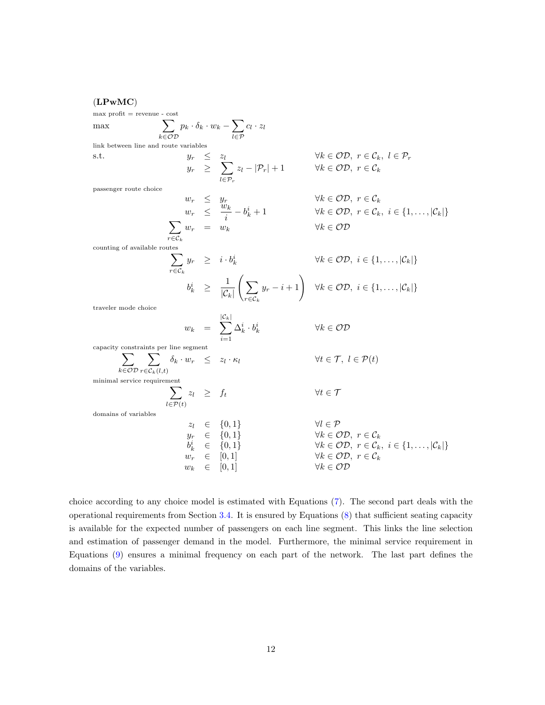# (LPwMC)

max profit = revenue - cost  
\nmax\n
$$
\sum_{k \in OD} p_k \cdot \delta_k \cdot w_k - \sum_{l \in P} c_l \cdot z_l
$$
\nlink between line and route variables  
\ns.t.\n
$$
y_r \leq z_l
$$
\n
$$
y_r \leq z_l
$$
\n
$$
y_r \leq z_l
$$
\n
$$
y_r \leq \sum_{l \in P_r} z_l - |\mathcal{P}_r| + 1
$$
\n
$$
\forall k \in OD, r \in \mathcal{C}_k
$$
\npassenger route choice\n
$$
w_r \leq y_r
$$
\n
$$
w_r \leq y_r
$$
\n
$$
w_r = w_k
$$
\n
$$
\forall k \in OD, r \in \mathcal{C}_k
$$
\n
$$
y_k \in OD, r \in \mathcal{C}_k
$$
\n
$$
y_k \in OD
$$
\n
$$
y_k \in CD
$$
\ncounting of available routes\n
$$
\sum_{r \in \mathcal{C}_k} y_r = v_k
$$
\n
$$
y_k \in OD
$$
\n
$$
y_k \in OD
$$
\n
$$
y_k \in OD
$$
\n
$$
y_k \in CD
$$
\ncounting of available routes\n
$$
y_k \geq \frac{1}{|\mathcal{C}_k|} \left( \sum_{r \in \mathcal{C}_k} y_r - i + 1 \right)
$$
\n
$$
\forall k \in OD, i \in \{1, ..., |\mathcal{C}_k|\}
$$
\ntraveler mode choice\n
$$
w_k = \sum_{i=1}^{|\mathcal{C}_k|} \Delta_k^i \cdot b_k^i
$$
\n
$$
\forall k \in OD
$$
\ncap  
\ncapacity constraints per line segment\n
$$
\sum_{l \in \mathcal{P}(t)} z_l \geq f_t
$$
\n
$$
\forall t \in \mathcal{T}, l \in \mathcal{P}(t)
$$
\nminimal service requirement\n
$$
\sum_{l \in \mathcal{P}(t)} z_l \geq f_t
$$
\n
$$
\forall t \in \mathcal{T}
$$
\ndomains of variables\n
$$
z_l \in \{0, 1\}
$$
\n
$$
\forall k \in OD, r \in \mathcal{C}_k
$$
\n
$$
y_r \in [0, 1]
$$
\n
$$
\
$$

choice according to any choice model is estimated with Equations [\(7\)](#page-9-1). The second part deals with the operational requirements from Section [3.4.](#page-10-0) It is ensured by Equations [\(8\)](#page-10-1) that sufficient seating capacity is available for the expected number of passengers on each line segment. This links the line selection and estimation of passenger demand in the model. Furthermore, the minimal service requirement in Equations [\(9\)](#page-10-2) ensures a minimal frequency on each part of the network. The last part defines the domains of the variables.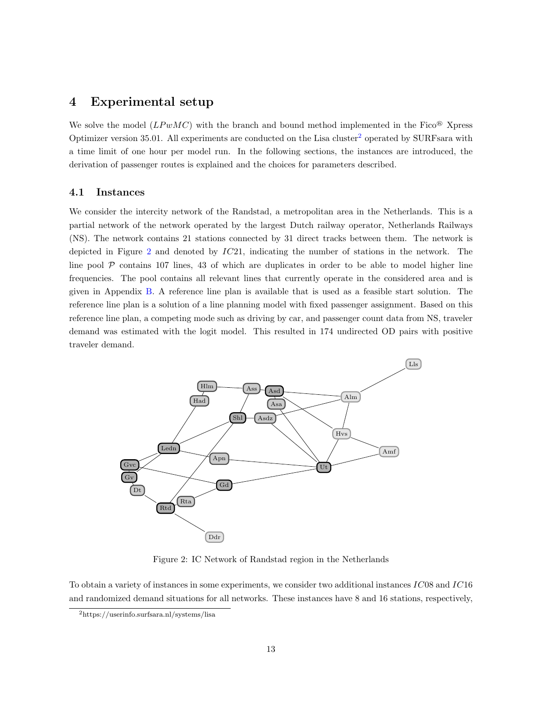# <span id="page-12-0"></span>4 Experimental setup

We solve the model  $(LP wMC)$  with the branch and bound method implemented in the Fico<sup>®</sup> Xpress Optimizer version 35.01. All experiments are conducted on the Lisa cluster<sup>[2](#page-12-1)</sup> operated by SURFsara with a time limit of one hour per model run. In the following sections, the instances are introduced, the derivation of passenger routes is explained and the choices for parameters described.

### 4.1 Instances

We consider the intercity network of the Randstad, a metropolitan area in the Netherlands. This is a partial network of the network operated by the largest Dutch railway operator, Netherlands Railways (NS). The network contains 21 stations connected by 31 direct tracks between them. The network is depicted in Figure [2](#page-12-2) and denoted by  $IC21$ , indicating the number of stations in the network. The line pool  $P$  contains 107 lines, 43 of which are duplicates in order to be able to model higher line frequencies. The pool contains all relevant lines that currently operate in the considered area and is given in Appendix [B.](#page-25-0) A reference line plan is available that is used as a feasible start solution. The reference line plan is a solution of a line planning model with fixed passenger assignment. Based on this reference line plan, a competing mode such as driving by car, and passenger count data from NS, traveler demand was estimated with the logit model. This resulted in 174 undirected OD pairs with positive traveler demand.



<span id="page-12-2"></span>Figure 2: IC Network of Randstad region in the Netherlands

To obtain a variety of instances in some experiments, we consider two additional instances IC08 and IC16 and randomized demand situations for all networks. These instances have 8 and 16 stations, respectively,

<span id="page-12-1"></span><sup>2</sup>https://userinfo.surfsara.nl/systems/lisa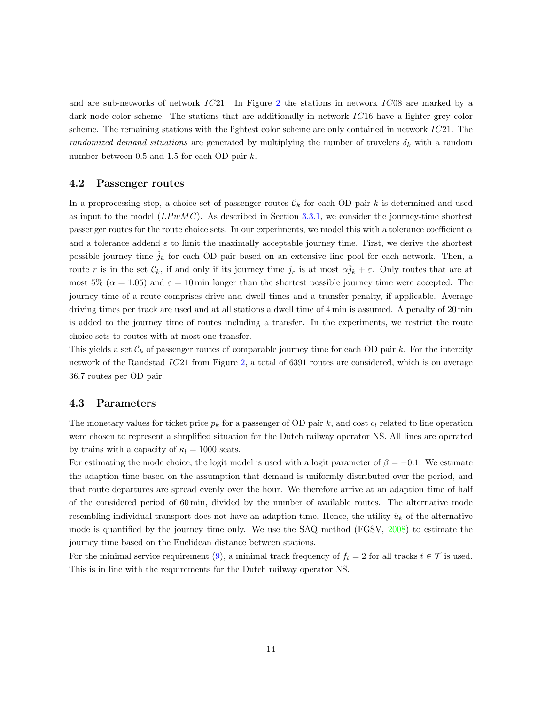and are sub-networks of network IC21. In Figure [2](#page-12-2) the stations in network IC08 are marked by a dark node color scheme. The stations that are additionally in network IC16 have a lighter grey color scheme. The remaining stations with the lightest color scheme are only contained in network  $IC21$ . The randomized demand situations are generated by multiplying the number of travelers  $\delta_k$  with a random number between 0.5 and 1.5 for each OD pair k.

## 4.2 Passenger routes

In a preprocessing step, a choice set of passenger routes  $\mathcal{C}_k$  for each OD pair k is determined and used as input to the model  $(LP wMC)$ . As described in Section [3.3.1,](#page-6-0) we consider the journey-time shortest passenger routes for the route choice sets. In our experiments, we model this with a tolerance coefficient  $\alpha$ and a tolerance addend  $\varepsilon$  to limit the maximally acceptable journey time. First, we derive the shortest possible journey time  $\hat{j}_k$  for each OD pair based on an extensive line pool for each network. Then, a route r is in the set  $\mathcal{C}_k$ , if and only if its journey time  $j_r$  is at most  $\alpha j_k + \varepsilon$ . Only routes that are at most 5% ( $\alpha = 1.05$ ) and  $\varepsilon = 10$  min longer than the shortest possible journey time were accepted. The journey time of a route comprises drive and dwell times and a transfer penalty, if applicable. Average driving times per track are used and at all stations a dwell time of 4 min is assumed. A penalty of 20 min is added to the journey time of routes including a transfer. In the experiments, we restrict the route choice sets to routes with at most one transfer.

This yields a set  $\mathcal{C}_k$  of passenger routes of comparable journey time for each OD pair k. For the intercity network of the Randstad IC21 from Figure [2,](#page-12-2) a total of 6391 routes are considered, which is on average 36.7 routes per OD pair.

### 4.3 Parameters

The monetary values for ticket price  $p_k$  for a passenger of OD pair k, and cost  $c_l$  related to line operation were chosen to represent a simplified situation for the Dutch railway operator NS. All lines are operated by trains with a capacity of  $\kappa_l = 1000$  seats.

For estimating the mode choice, the logit model is used with a logit parameter of  $\beta = -0.1$ . We estimate the adaption time based on the assumption that demand is uniformly distributed over the period, and that route departures are spread evenly over the hour. We therefore arrive at an adaption time of half of the considered period of 60 min, divided by the number of available routes. The alternative mode resembling individual transport does not have an adaption time. Hence, the utility  $\hat{u}_k$  of the alternative mode is quantified by the journey time only. We use the SAQ method (FGSV,  $2008$ ) to estimate the journey time based on the Euclidean distance between stations.

For the minimal service requirement [\(9\)](#page-10-2), a minimal track frequency of  $f_t = 2$  for all tracks  $t \in \mathcal{T}$  is used. This is in line with the requirements for the Dutch railway operator NS.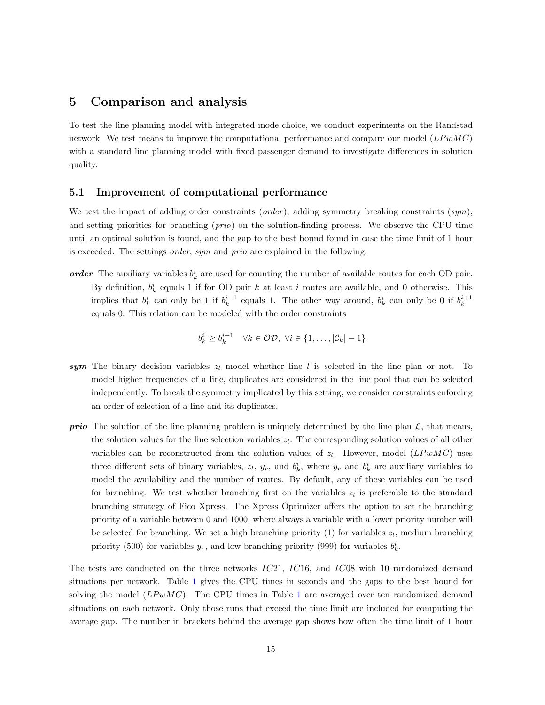# <span id="page-14-0"></span>5 Comparison and analysis

To test the line planning model with integrated mode choice, we conduct experiments on the Randstad network. We test means to improve the computational performance and compare our model  $(LP w M C)$ with a standard line planning model with fixed passenger demand to investigate differences in solution quality.

#### 5.1 Improvement of computational performance

We test the impact of adding order constraints (*order*), adding symmetry breaking constraints  $(sym)$ , and setting priorities for branching (*prio*) on the solution-finding process. We observe the CPU time until an optimal solution is found, and the gap to the best bound found in case the time limit of 1 hour is exceeded. The settings order, sym and prio are explained in the following.

order The auxiliary variables  $b_k^i$  are used for counting the number of available routes for each OD pair. By definition,  $b_k^i$  equals 1 if for OD pair k at least i routes are available, and 0 otherwise. This implies that  $b_k^i$  can only be 1 if  $b_k^{i-1}$  equals 1. The other way around,  $b_k^i$  can only be 0 if  $b_k^{i+1}$ equals 0. This relation can be modeled with the order constraints

$$
b_k^i \ge b_k^{i+1} \quad \forall k \in \mathcal{OD}, \ \forall i \in \{1, \dots, |\mathcal{C}_k| - 1\}
$$

- sym The binary decision variables  $z_l$  model whether line l is selected in the line plan or not. To model higher frequencies of a line, duplicates are considered in the line pool that can be selected independently. To break the symmetry implicated by this setting, we consider constraints enforcing an order of selection of a line and its duplicates.
- **prio** The solution of the line planning problem is uniquely determined by the line plan  $\mathcal{L}$ , that means, the solution values for the line selection variables  $z_l$ . The corresponding solution values of all other variables can be reconstructed from the solution values of  $z_l$ . However, model  $(LPwMC)$  uses three different sets of binary variables,  $z_l$ ,  $y_r$ , and  $b_k^i$ , where  $y_r$  and  $b_k^i$  are auxiliary variables to model the availability and the number of routes. By default, any of these variables can be used for branching. We test whether branching first on the variables  $z<sub>l</sub>$  is preferable to the standard branching strategy of Fico Xpress. The Xpress Optimizer offers the option to set the branching priority of a variable between 0 and 1000, where always a variable with a lower priority number will be selected for branching. We set a high branching priority (1) for variables  $z_l$ , medium branching priority (500) for variables  $y_r$ , and low branching priority (999) for variables  $b_k^i$ .

The tests are conducted on the three networks IC21, IC16, and IC08 with 10 randomized demand situations per network. Table [1](#page-15-0) gives the CPU times in seconds and the gaps to the best bound for solving the model  $(LPwMC)$ . The CPU times in Table [1](#page-15-0) are averaged over ten randomized demand situations on each network. Only those runs that exceed the time limit are included for computing the average gap. The number in brackets behind the average gap shows how often the time limit of 1 hour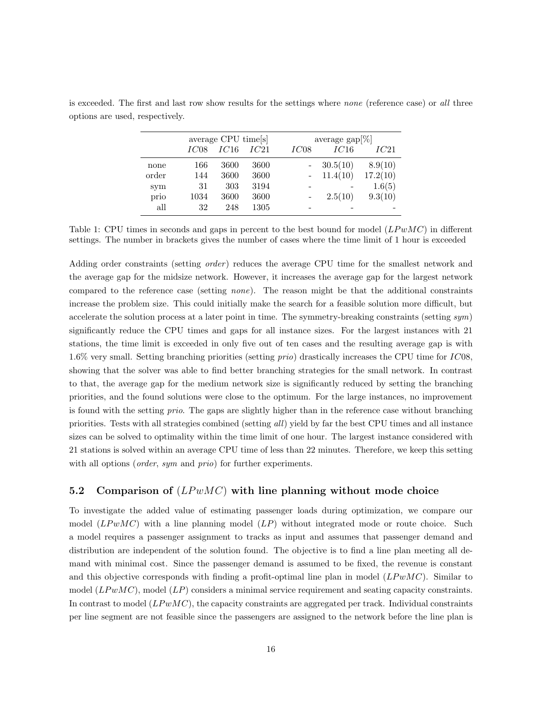|       |      | average CPU time[s] |      |      | average $\text{gap}[\%]$ |          |  |  |  |
|-------|------|---------------------|------|------|--------------------------|----------|--|--|--|
|       | IC08 | IC16                | IC21 | IC08 | IC16                     | IC21     |  |  |  |
| none  | 166  | 3600                | 3600 |      | 30.5(10)                 | 8.9(10)  |  |  |  |
| order | 144  | 3600                | 3600 |      | 11.4(10)                 | 17.2(10) |  |  |  |
| sym   | 31   | 303                 | 3194 |      |                          | 1.6(5)   |  |  |  |
| prio  | 1034 | 3600                | 3600 |      | 2.5(10)                  | 9.3(10)  |  |  |  |
| all   | 32   | 248                 | 1305 |      |                          |          |  |  |  |

is exceeded. The first and last row show results for the settings where *none* (reference case) or all three options are used, respectively.

<span id="page-15-0"></span>Table 1: CPU times in seconds and gaps in percent to the best bound for model  $(LPwMC)$  in different settings. The number in brackets gives the number of cases where the time limit of 1 hour is exceeded

Adding order constraints (setting *order*) reduces the average CPU time for the smallest network and the average gap for the midsize network. However, it increases the average gap for the largest network compared to the reference case (setting none). The reason might be that the additional constraints increase the problem size. This could initially make the search for a feasible solution more difficult, but accelerate the solution process at a later point in time. The symmetry-breaking constraints (setting  $sym$ ) significantly reduce the CPU times and gaps for all instance sizes. For the largest instances with 21 stations, the time limit is exceeded in only five out of ten cases and the resulting average gap is with 1.6% very small. Setting branching priorities (setting prio) drastically increases the CPU time for IC08, showing that the solver was able to find better branching strategies for the small network. In contrast to that, the average gap for the medium network size is significantly reduced by setting the branching priorities, and the found solutions were close to the optimum. For the large instances, no improvement is found with the setting prio. The gaps are slightly higher than in the reference case without branching priorities. Tests with all strategies combined (setting all) yield by far the best CPU times and all instance sizes can be solved to optimality within the time limit of one hour. The largest instance considered with 21 stations is solved within an average CPU time of less than 22 minutes. Therefore, we keep this setting with all options (*order*, *sym* and *prio*) for further experiments.

## 5.2 Comparison of  $(LPwMC)$  with line planning without mode choice

To investigate the added value of estimating passenger loads during optimization, we compare our model  $(LPwMC)$  with a line planning model  $(LP)$  without integrated mode or route choice. Such a model requires a passenger assignment to tracks as input and assumes that passenger demand and distribution are independent of the solution found. The objective is to find a line plan meeting all demand with minimal cost. Since the passenger demand is assumed to be fixed, the revenue is constant and this objective corresponds with finding a profit-optimal line plan in model  $(LP w MC)$ . Similar to model  $(LP wMC)$ , model  $(LP)$  considers a minimal service requirement and seating capacity constraints. In contrast to model  $(LPwMC)$ , the capacity constraints are aggregated per track. Individual constraints per line segment are not feasible since the passengers are assigned to the network before the line plan is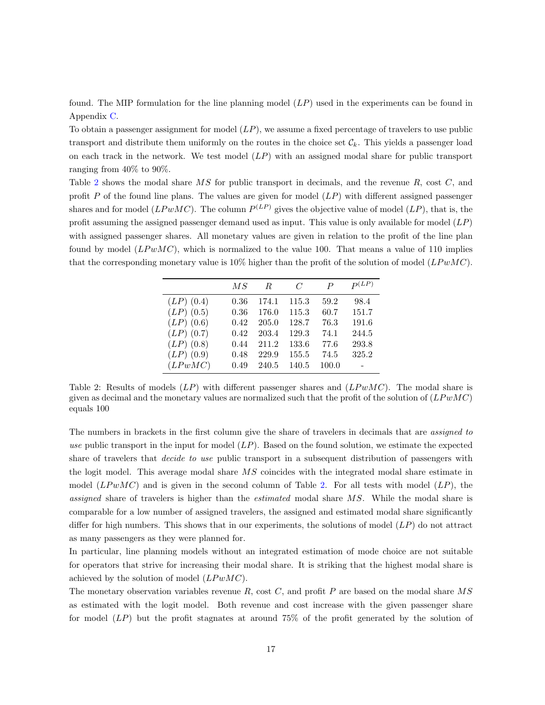found. The MIP formulation for the line planning model (LP) used in the experiments can be found in Appendix [C.](#page-26-0)

To obtain a passenger assignment for model  $(LP)$ , we assume a fixed percentage of travelers to use public transport and distribute them uniformly on the routes in the choice set  $\mathcal{C}_k$ . This yields a passenger load on each track in the network. We test model  $(LP)$  with an assigned modal share for public transport ranging from 40% to 90%.

Table [2](#page-16-0) shows the modal share MS for public transport in decimals, and the revenue R, cost C, and profit  $P$  of the found line plans. The values are given for model  $(LP)$  with different assigned passenger shares and for model ( $\text{LPwMC}$ ). The column  $P^{(LP)}$  gives the objective value of model ( $\text{LP}$ ), that is, the profit assuming the assigned passenger demand used as input. This value is only available for model  $(LP)$ with assigned passenger shares. All monetary values are given in relation to the profit of the line plan found by model  $(LP wMC)$ , which is normalized to the value 100. That means a value of 110 implies that the corresponding monetary value is 10% higher than the profit of the solution of model  $(LP wMC)$ .

|              | $\it{MS}$ | R.    | C     | $\boldsymbol{P}$ | $P^{(LP)}$ |
|--------------|-----------|-------|-------|------------------|------------|
| $(LP)$ (0.4) | 0.36      | 174.1 | 115.3 | 59.2             | 98.4       |
| $(LP)$ (0.5) | 0.36      | 176.0 | 115.3 | 60.7             | 151.7      |
| $(LP)$ (0.6) | 0.42      | 205.0 | 128.7 | 76.3             | 191.6      |
| $(LP)$ (0.7) | 0.42      | 203.4 | 129.3 | 74.1             | 244.5      |
| $(LP)$ (0.8) | 0.44      | 211.2 | 133.6 | 77.6             | 293.8      |
| $(LP)$ (0.9) | 0.48      | 229.9 | 155.5 | 74.5             | 325.2      |
| (LPwMC)      | 0.49      | 240.5 | 140.5 | 100.0            |            |

<span id="page-16-0"></span>Table 2: Results of models  $(LP)$  with different passenger shares and  $(LP w MC)$ . The modal share is given as decimal and the monetary values are normalized such that the profit of the solution of  $(LP wMC)$ equals 100

The numbers in brackets in the first column give the share of travelers in decimals that are *assigned to* use public transport in the input for model  $(LP)$ . Based on the found solution, we estimate the expected share of travelers that *decide to use* public transport in a subsequent distribution of passengers with the logit model. This average modal share MS coincides with the integrated modal share estimate in model  $(LP w MC)$  and is given in the second column of Table [2.](#page-16-0) For all tests with model  $(LP)$ , the assigned share of travelers is higher than the *estimated* modal share MS. While the modal share is comparable for a low number of assigned travelers, the assigned and estimated modal share significantly differ for high numbers. This shows that in our experiments, the solutions of model  $(LP)$  do not attract as many passengers as they were planned for.

In particular, line planning models without an integrated estimation of mode choice are not suitable for operators that strive for increasing their modal share. It is striking that the highest modal share is achieved by the solution of model  $(LP w MC)$ .

The monetary observation variables revenue  $R$ , cost  $C$ , and profit  $P$  are based on the modal share  $MS$ as estimated with the logit model. Both revenue and cost increase with the given passenger share for model  $(LP)$  but the profit stagnates at around 75% of the profit generated by the solution of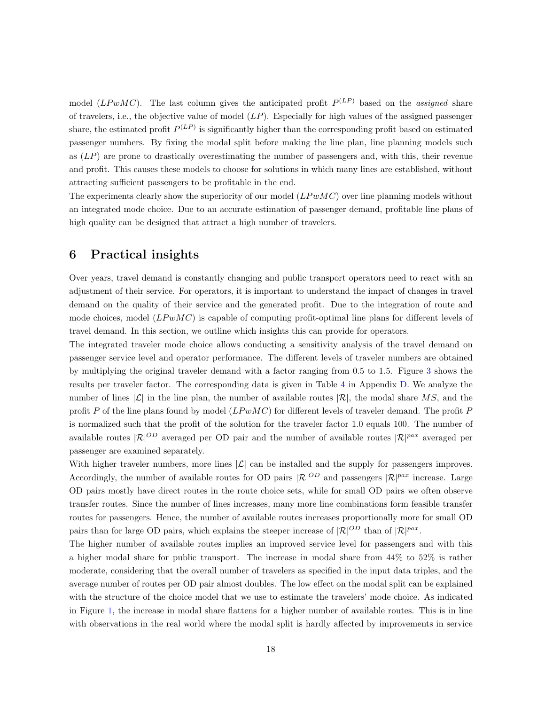model (LPwMC). The last column gives the anticipated profit  $P^{(LP)}$  based on the assigned share of travelers, i.e., the objective value of model  $(LP)$ . Especially for high values of the assigned passenger share, the estimated profit  $P^{(LP)}$  is significantly higher than the corresponding profit based on estimated passenger numbers. By fixing the modal split before making the line plan, line planning models such as (LP) are prone to drastically overestimating the number of passengers and, with this, their revenue and profit. This causes these models to choose for solutions in which many lines are established, without attracting sufficient passengers to be profitable in the end.

The experiments clearly show the superiority of our model  $(LP w M C)$  over line planning models without an integrated mode choice. Due to an accurate estimation of passenger demand, profitable line plans of high quality can be designed that attract a high number of travelers.

# <span id="page-17-0"></span>6 Practical insights

Over years, travel demand is constantly changing and public transport operators need to react with an adjustment of their service. For operators, it is important to understand the impact of changes in travel demand on the quality of their service and the generated profit. Due to the integration of route and mode choices, model  $(LPwMC)$  is capable of computing profit-optimal line plans for different levels of travel demand. In this section, we outline which insights this can provide for operators.

The integrated traveler mode choice allows conducting a sensitivity analysis of the travel demand on passenger service level and operator performance. The different levels of traveler numbers are obtained by multiplying the original traveler demand with a factor ranging from 0.5 to 1.5. Figure [3](#page-18-1) shows the results per traveler factor. The corresponding data is given in Table [4](#page-27-0) in Appendix [D.](#page-27-1) We analyze the number of lines  $|\mathcal{L}|$  in the line plan, the number of available routes  $|\mathcal{R}|$ , the modal share MS, and the profit P of the line plans found by model  $(LPwMC)$  for different levels of traveler demand. The profit P is normalized such that the profit of the solution for the traveler factor 1.0 equals 100. The number of available routes  $\mathcal{R}^{[OD]}$  averaged per OD pair and the number of available routes  $\mathcal{R}^{[pax]}$  averaged per passenger are examined separately.

With higher traveler numbers, more lines  $|\mathcal{L}|$  can be installed and the supply for passengers improves. Accordingly, the number of available routes for OD pairs  $|\mathcal{R}|^{OD}$  and passengers  $|\mathcal{R}|^{pax}$  increase. Large OD pairs mostly have direct routes in the route choice sets, while for small OD pairs we often observe transfer routes. Since the number of lines increases, many more line combinations form feasible transfer routes for passengers. Hence, the number of available routes increases proportionally more for small OD pairs than for large OD pairs, which explains the steeper increase of  $|\mathcal{R}|^{OD}$  than of  $|\mathcal{R}|^{pax}$ .

The higher number of available routes implies an improved service level for passengers and with this a higher modal share for public transport. The increase in modal share from 44% to 52% is rather moderate, considering that the overall number of travelers as specified in the input data triples, and the average number of routes per OD pair almost doubles. The low effect on the modal split can be explained with the structure of the choice model that we use to estimate the travelers' mode choice. As indicated in Figure [1,](#page-9-0) the increase in modal share flattens for a higher number of available routes. This is in line with observations in the real world where the modal split is hardly affected by improvements in service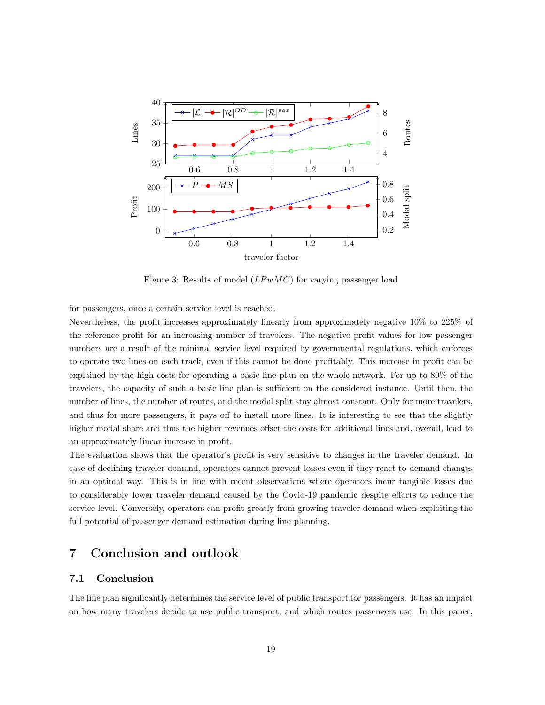

<span id="page-18-1"></span>Figure 3: Results of model  $(LP wMC)$  for varying passenger load

for passengers, once a certain service level is reached.

Nevertheless, the profit increases approximately linearly from approximately negative 10% to 225% of the reference profit for an increasing number of travelers. The negative profit values for low passenger numbers are a result of the minimal service level required by governmental regulations, which enforces to operate two lines on each track, even if this cannot be done profitably. This increase in profit can be explained by the high costs for operating a basic line plan on the whole network. For up to 80% of the travelers, the capacity of such a basic line plan is sufficient on the considered instance. Until then, the number of lines, the number of routes, and the modal split stay almost constant. Only for more travelers, and thus for more passengers, it pays off to install more lines. It is interesting to see that the slightly higher modal share and thus the higher revenues offset the costs for additional lines and, overall, lead to an approximately linear increase in profit.

The evaluation shows that the operator's profit is very sensitive to changes in the traveler demand. In case of declining traveler demand, operators cannot prevent losses even if they react to demand changes in an optimal way. This is in line with recent observations where operators incur tangible losses due to considerably lower traveler demand caused by the Covid-19 pandemic despite efforts to reduce the service level. Conversely, operators can profit greatly from growing traveler demand when exploiting the full potential of passenger demand estimation during line planning.

# <span id="page-18-0"></span>7 Conclusion and outlook

# 7.1 Conclusion

The line plan significantly determines the service level of public transport for passengers. It has an impact on how many travelers decide to use public transport, and which routes passengers use. In this paper,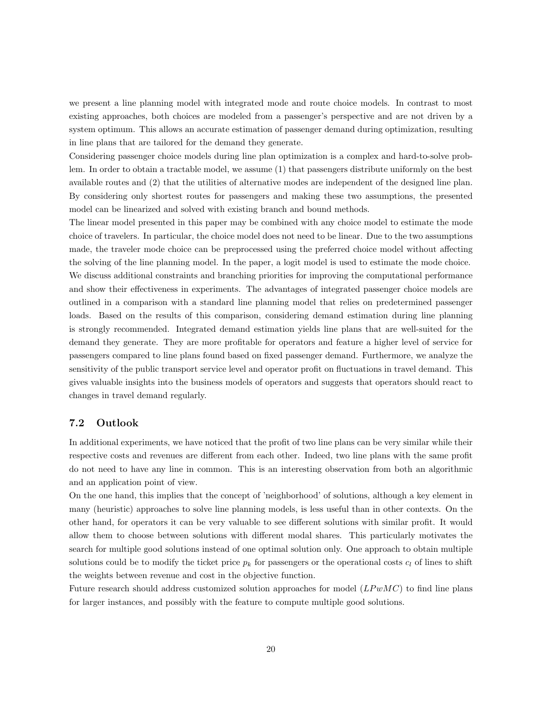we present a line planning model with integrated mode and route choice models. In contrast to most existing approaches, both choices are modeled from a passenger's perspective and are not driven by a system optimum. This allows an accurate estimation of passenger demand during optimization, resulting in line plans that are tailored for the demand they generate.

Considering passenger choice models during line plan optimization is a complex and hard-to-solve problem. In order to obtain a tractable model, we assume (1) that passengers distribute uniformly on the best available routes and (2) that the utilities of alternative modes are independent of the designed line plan. By considering only shortest routes for passengers and making these two assumptions, the presented model can be linearized and solved with existing branch and bound methods.

The linear model presented in this paper may be combined with any choice model to estimate the mode choice of travelers. In particular, the choice model does not need to be linear. Due to the two assumptions made, the traveler mode choice can be preprocessed using the preferred choice model without affecting the solving of the line planning model. In the paper, a logit model is used to estimate the mode choice. We discuss additional constraints and branching priorities for improving the computational performance and show their effectiveness in experiments. The advantages of integrated passenger choice models are outlined in a comparison with a standard line planning model that relies on predetermined passenger loads. Based on the results of this comparison, considering demand estimation during line planning is strongly recommended. Integrated demand estimation yields line plans that are well-suited for the demand they generate. They are more profitable for operators and feature a higher level of service for passengers compared to line plans found based on fixed passenger demand. Furthermore, we analyze the sensitivity of the public transport service level and operator profit on fluctuations in travel demand. This gives valuable insights into the business models of operators and suggests that operators should react to changes in travel demand regularly.

## 7.2 Outlook

In additional experiments, we have noticed that the profit of two line plans can be very similar while their respective costs and revenues are different from each other. Indeed, two line plans with the same profit do not need to have any line in common. This is an interesting observation from both an algorithmic and an application point of view.

On the one hand, this implies that the concept of 'neighborhood' of solutions, although a key element in many (heuristic) approaches to solve line planning models, is less useful than in other contexts. On the other hand, for operators it can be very valuable to see different solutions with similar profit. It would allow them to choose between solutions with different modal shares. This particularly motivates the search for multiple good solutions instead of one optimal solution only. One approach to obtain multiple solutions could be to modify the ticket price  $p_k$  for passengers or the operational costs  $c_l$  of lines to shift the weights between revenue and cost in the objective function.

Future research should address customized solution approaches for model  $(LP wMC)$  to find line plans for larger instances, and possibly with the feature to compute multiple good solutions.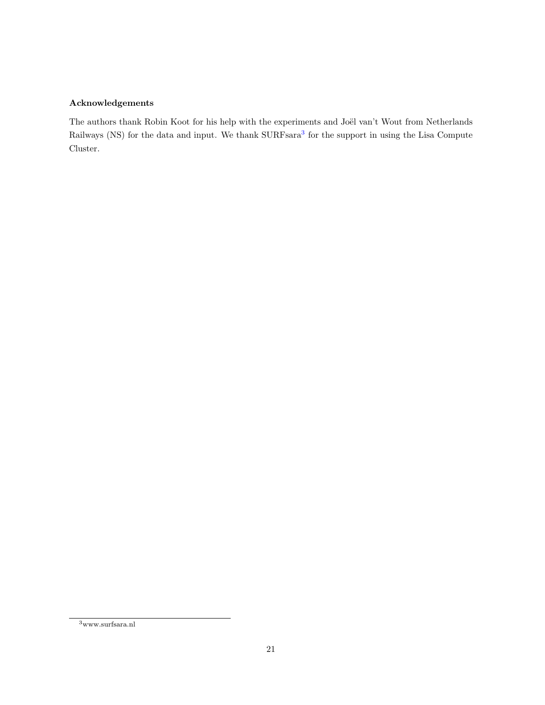# Acknowledgements

The authors thank Robin Koot for his help with the experiments and Joël van't Wout from Netherlands Railways (NS) for the data and input. We thank SURFsara<sup>[3](#page-20-0)</sup> for the support in using the Lisa Compute Cluster.

<span id="page-20-0"></span> $^3$  www.surfsara.nl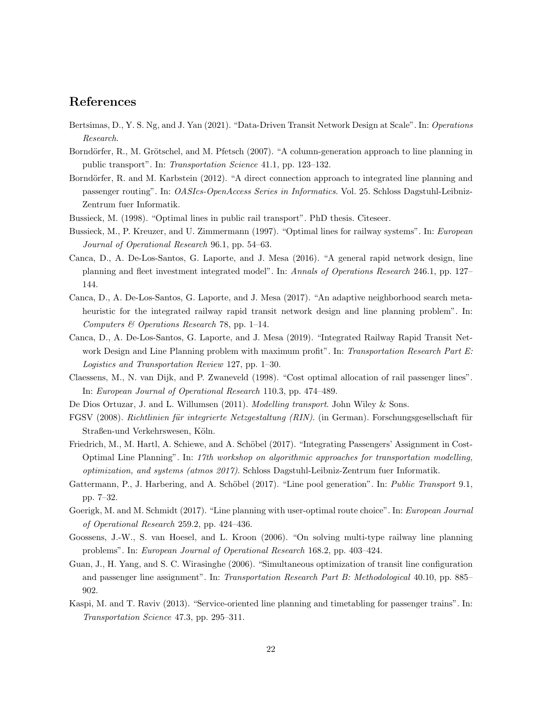# References

- <span id="page-21-12"></span>Bertsimas, D., Y. S. Ng, and J. Yan (2021). "Data-Driven Transit Network Design at Scale". In: Operations Research.
- <span id="page-21-1"></span>Borndörfer, R., M. Grötschel, and M. Pfetsch (2007). "A column-generation approach to line planning in public transport". In: Transportation Science 41.1, pp. 123–132.
- <span id="page-21-10"></span>Borndörfer, R. and M. Karbstein (2012). "A direct connection approach to integrated line planning and passenger routing". In: OASIcs-OpenAccess Series in Informatics. Vol. 25. Schloss Dagstuhl-Leibniz-Zentrum fuer Informatik.
- <span id="page-21-5"></span>Bussieck, M. (1998). "Optimal lines in public rail transport". PhD thesis. Citeseer.
- <span id="page-21-6"></span>Bussieck, M., P. Kreuzer, and U. Zimmermann (1997). "Optimal lines for railway systems". In: European Journal of Operational Research 96.1, pp. 54–63.
- <span id="page-21-13"></span>Canca, D., A. De-Los-Santos, G. Laporte, and J. Mesa (2016). "A general rapid network design, line planning and fleet investment integrated model". In: Annals of Operations Research 246.1, pp. 127– 144.
- <span id="page-21-14"></span>Canca, D., A. De-Los-Santos, G. Laporte, and J. Mesa (2017). "An adaptive neighborhood search metaheuristic for the integrated railway rapid transit network design and line planning problem". In: Computers & Operations Research 78, pp. 1–14.
- <span id="page-21-15"></span>Canca, D., A. De-Los-Santos, G. Laporte, and J. Mesa (2019). "Integrated Railway Rapid Transit Network Design and Line Planning problem with maximum profit". In: Transportation Research Part E: Logistics and Transportation Review 127, pp. 1–30.
- <span id="page-21-2"></span>Claessens, M., N. van Dijk, and P. Zwaneveld (1998). "Cost optimal allocation of rail passenger lines". In: European Journal of Operational Research 110.3, pp. 474–489.
- <span id="page-21-8"></span>De Dios Ortuzar, J. and L. Willumsen (2011). *Modelling transport*. John Wiley & Sons.
- <span id="page-21-16"></span>FGSV (2008). Richtlinien für integrierte Netzgestaltung (RIN). (in German). Forschungsgesellschaft für Straßen-und Verkehrswesen, Köln.
- <span id="page-21-3"></span>Friedrich, M., M. Hartl, A. Schiewe, and A. Schöbel (2017). "Integrating Passengers' Assignment in Cost-Optimal Line Planning". In: 17th workshop on algorithmic approaches for transportation modelling, optimization, and systems (atmos 2017). Schloss Dagstuhl-Leibniz-Zentrum fuer Informatik.
- <span id="page-21-0"></span>Gattermann, P., J. Harbering, and A. Schöbel (2017). "Line pool generation". In: Public Transport 9.1, pp. 7–32.
- <span id="page-21-7"></span>Goerigk, M. and M. Schmidt (2017). "Line planning with user-optimal route choice". In: European Journal of Operational Research 259.2, pp. 424–436.
- <span id="page-21-4"></span>Goossens, J.-W., S. van Hoesel, and L. Kroon (2006). "On solving multi-type railway line planning problems". In: European Journal of Operational Research 168.2, pp. 403–424.
- <span id="page-21-9"></span>Guan, J., H. Yang, and S. C. Wirasinghe (2006). "Simultaneous optimization of transit line configuration and passenger line assignment". In: Transportation Research Part B: Methodological 40.10, pp. 885– 902.
- <span id="page-21-11"></span>Kaspi, M. and T. Raviv (2013). "Service-oriented line planning and timetabling for passenger trains". In: Transportation Science 47.3, pp. 295–311.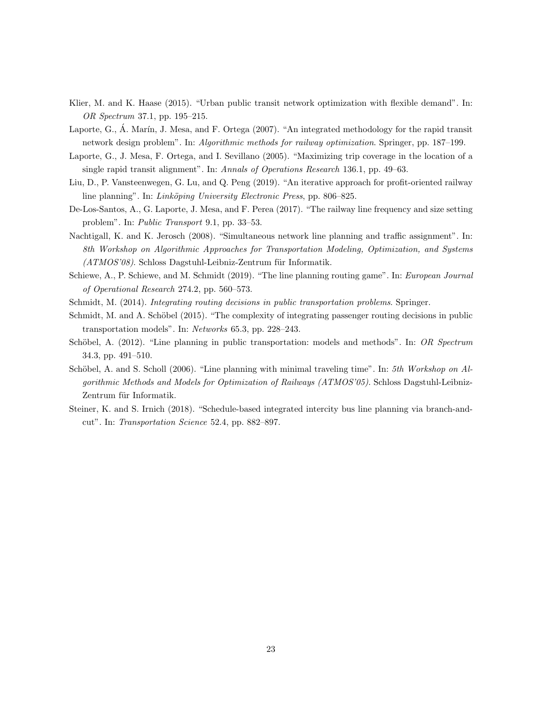- <span id="page-22-9"></span>Klier, M. and K. Haase (2015). "Urban public transit network optimization with flexible demand". In: OR Spectrum 37.1, pp. 195–215.
- <span id="page-22-8"></span>Laporte, G., Á. Marín, J. Mesa, and F. Ortega (2007). "An integrated methodology for the rapid transit network design problem". In: Algorithmic methods for railway optimization. Springer, pp. 187–199.
- <span id="page-22-7"></span>Laporte, G., J. Mesa, F. Ortega, and I. Sevillano (2005). "Maximizing trip coverage in the location of a single rapid transit alignment". In: Annals of Operations Research 136.1, pp. 49–63.
- <span id="page-22-2"></span>Liu, D., P. Vansteenwegen, G. Lu, and Q. Peng (2019). "An iterative approach for profit-oriented railway line planning". In: Linköping University Electronic Press, pp. 806–825.
- <span id="page-22-10"></span>De-Los-Santos, A., G. Laporte, J. Mesa, and F. Perea (2017). "The railway line frequency and size setting problem". In: Public Transport 9.1, pp. 33–53.
- <span id="page-22-3"></span>Nachtigall, K. and K. Jerosch (2008). "Simultaneous network line planning and traffic assignment". In: 8th Workshop on Algorithmic Approaches for Transportation Modeling, Optimization, and Systems  $(ATMOS'08)$ . Schloss Dagstuhl-Leibniz-Zentrum für Informatik.
- <span id="page-22-6"></span>Schiewe, A., P. Schiewe, and M. Schmidt (2019). "The line planning routing game". In: European Journal of Operational Research 274.2, pp. 560–573.
- <span id="page-22-5"></span>Schmidt, M. (2014). Integrating routing decisions in public transportation problems. Springer.
- <span id="page-22-4"></span>Schmidt, M. and A. Schöbel (2015). "The complexity of integrating passenger routing decisions in public transportation models". In: Networks 65.3, pp. 228–243.
- <span id="page-22-0"></span>Schöbel, A. (2012). "Line planning in public transportation: models and methods". In: OR Spectrum 34.3, pp. 491–510.
- <span id="page-22-1"></span>Schöbel, A. and S. Scholl (2006). "Line planning with minimal traveling time". In: 5th Workshop on  $Al$ gorithmic Methods and Models for Optimization of Railways (ATMOS'05). Schloss Dagstuhl-Leibniz-Zentrum für Informatik.
- <span id="page-22-11"></span>Steiner, K. and S. Irnich (2018). "Schedule-based integrated intercity bus line planning via branch-andcut". In: Transportation Science 52.4, pp. 882–897.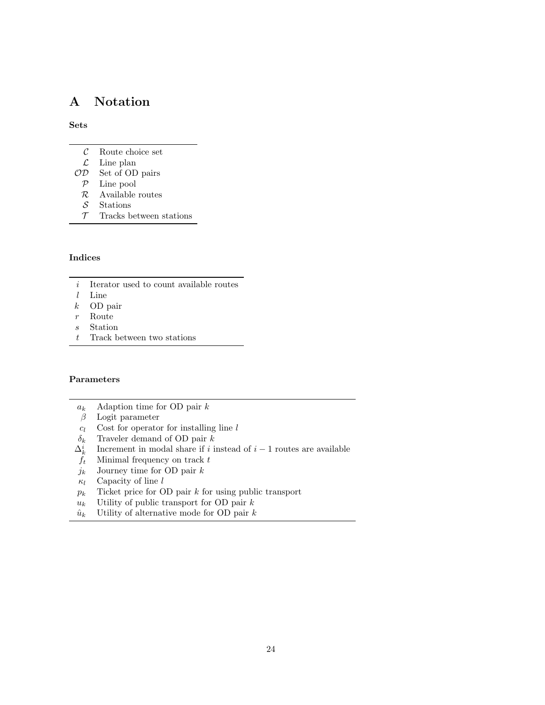# A Notation

### Sets

- $\mathcal C$  Route choice set
- $\mathcal{L}$  Line plan
- OD Set of OD pairs
	- P Line pool
	- $\mathcal R$  Available routes
- ${\mathcal S}$  Stations
- $\mathcal T$  Tracks between stations

## Indices

- $i$  Iterator used to count available routes
- l Line
- k OD pair
- r Route
- s Station
- $t$  Track between two stations

## Parameters

- $a_k$  Adaption time for OD pair k<br>  $\beta$  Logit parameter
- Logit parameter
- $c_l$  Cost for operator for installing line l
- $\delta_k$  Traveler demand of OD pair k
- $\Delta_k^i$ Increment in modal share if i instead of  $i - 1$  routes are available
- $f_t$  Minimal frequency on track  $t$
- $j_k$  Journey time for OD pair  $k$
- $\kappa_l$  Capacity of line l
- $p_k$  Ticket price for OD pair k for using public transport
- $u_k$  Utility of public transport for OD pair  $k$
- $\hat{u}_k$  Utility of alternative mode for OD pair  $k$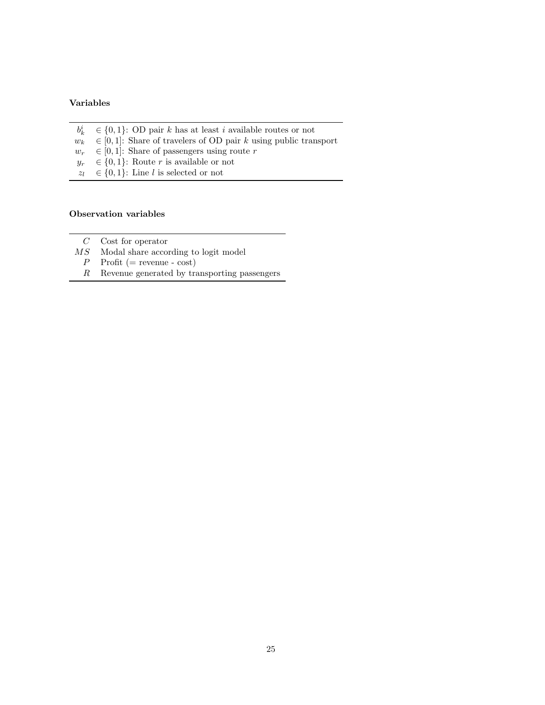## Variables

- $b^i_k$
- $b_k^i \in \{0, 1\}$ : OD pair k has at least i available routes or not  $w_k \in [0, 1]$ : Share of travelers of OD pair k using public tran  $\in [0, 1]$ : Share of travelers of OD pair k using public transport
- $w_r \in [0, 1]$ : Share of passengers using route r
- $y_r \in \{0, 1\}$ : Route r is available or not
- $z_l \in \{0, 1\}$ : Line l is selected or not

### Observation variables

- $C$  Cost for operator
- $\mathcal{MS}-\text{Modal}$  share according to logit model
	- $P$  Profit (= revenue cost)
	- $R$  Revenue generated by transporting passengers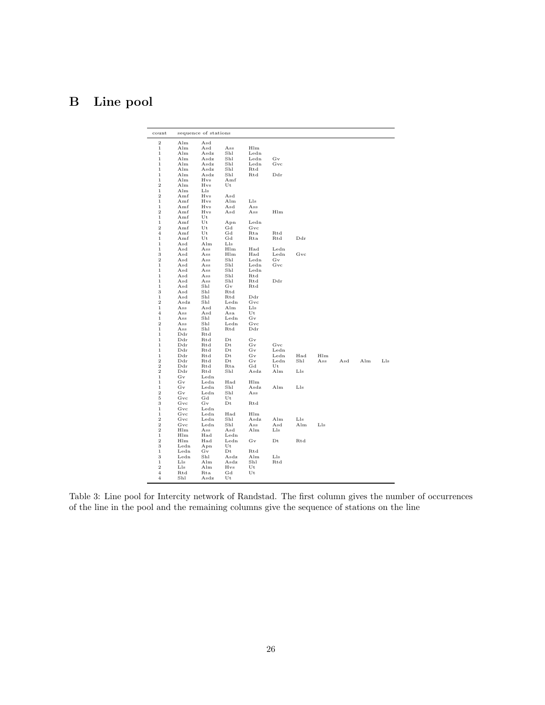# <span id="page-25-0"></span>B Line pool

| count                            | sequence of stations |                |                        |                      |                     |                 |            |     |     |     |
|----------------------------------|----------------------|----------------|------------------------|----------------------|---------------------|-----------------|------------|-----|-----|-----|
| 2                                | Alm                  | Asd            |                        |                      |                     |                 |            |     |     |     |
| $\,1$                            | Alm                  | $_{\rm Asd}$   | Ass                    | Hlm                  |                     |                 |            |     |     |     |
| $\,1$                            | Alm                  | Asdz           | Shl                    | Ledn                 |                     |                 |            |     |     |     |
| $\,1$                            | Alm                  | Asdz           | Shl                    | Ledn                 | $_{\rm Gv}$         |                 |            |     |     |     |
| $\,1$                            | Alm                  | Asdz           | Shl                    | Ledn                 | $_{\mathrm{Gvc}}$   |                 |            |     |     |     |
| $\,1\,$<br>$\mathbf 1$           | Alm<br>Alm           | Asdz<br>Asdz   | Shl<br>Shl             | Rtd<br>Rtd           | Ddr                 |                 |            |     |     |     |
| $\mathbf 1$                      | Alm                  | Hvs            | Amf                    |                      |                     |                 |            |     |     |     |
| $\overline{2}$                   | Alm                  | Hvs            | Ut                     |                      |                     |                 |            |     |     |     |
| $\mathbf 1$                      | Alm                  | Lls            |                        |                      |                     |                 |            |     |     |     |
| $\overline{2}$                   | Amf                  | Hvs            | Asd                    |                      |                     |                 |            |     |     |     |
| $\mathbf 1$                      | Amf                  | Hvs            | Alm                    | Lls                  |                     |                 |            |     |     |     |
| $\mathbf 1$                      | Amf                  | Hvs            | Asd                    | Ass                  |                     |                 |            |     |     |     |
| $\boldsymbol{2}$                 | Amf                  | Hvs            | Asd                    | Ass                  | Hlm                 |                 |            |     |     |     |
| $\mathbf 1$                      | Amf                  | Ut             |                        |                      |                     |                 |            |     |     |     |
| $\,1\,$<br>$\overline{2}$        | Amf<br>Amf           | Ut<br>Ut       | Apn<br>$_{\rm{Gd}}$    | Ledn<br>$_{\rm Gvc}$ |                     |                 |            |     |     |     |
| $\overline{4}$                   | Amf                  | Ut             | $_{\rm{Gd}}$           | Rta                  | Rtd                 |                 |            |     |     |     |
| $\mathbf 1$                      | Amf                  | Ut             | $_{\rm{Gd}}$           | Rta                  | Rtd                 | Ddr             |            |     |     |     |
| $\mathbf 1$                      | Asd                  | Alm            | Lls                    |                      |                     |                 |            |     |     |     |
| $\,1\,$                          | Asd                  | Ass            | Hlm                    | Had                  | $L$ edn             |                 |            |     |     |     |
| 3                                | Asd                  | Ass            | Hlm                    | Had                  | $L$ edn             | Gvc             |            |     |     |     |
| $\boldsymbol{2}$                 | Asd                  | Ass            | Shl                    | Ledn                 | $_{\rm Gv}$         |                 |            |     |     |     |
| $\mathbf 1$                      | Asd                  | Ass            | Shl                    | Ledn                 | Gvc                 |                 |            |     |     |     |
| $\,1\,$                          | Asd                  | Ass            | Shl                    | Ledn                 |                     |                 |            |     |     |     |
| $\mathbf 1$                      | Asd                  | Ass            | Shl                    | Rtd                  |                     |                 |            |     |     |     |
| $\mathbf 1$                      | Asd                  | Ass            | Shl                    | Rtd                  | Ddr                 |                 |            |     |     |     |
| $\mathbf 1$<br>3                 | $_{\rm Asd}$         | Shl<br>Shl     | $_{\rm Gv}$<br>Rtd     | Rtd                  |                     |                 |            |     |     |     |
| $\mathbf 1$                      | Asd<br>$_{\rm Asd}$  | Shl            | Rtd                    | Ddr                  |                     |                 |            |     |     |     |
| $\overline{\mathbf{2}}$          | Asdz                 | Shl            | Ledn                   | Gvc                  |                     |                 |            |     |     |     |
| $\,1\,$                          | Ass                  | Asd            | Alm                    | Lls                  |                     |                 |            |     |     |     |
| $\overline{\mathbf{4}}$          | Ass                  | Asd            | Asa                    | Ut                   |                     |                 |            |     |     |     |
| $\mathbf{1}$                     | Ass                  | Shl            | Ledn                   | Gv                   |                     |                 |            |     |     |     |
| $\overline{2}$                   | Ass                  | Shl            | Ledn                   | $_{\rm Gvc}$         |                     |                 |            |     |     |     |
| $\,1$                            | Ass                  | Shl            | Rtd                    | Ddr                  |                     |                 |            |     |     |     |
| $\,1$                            | Ddr                  | Rtd            |                        |                      |                     |                 |            |     |     |     |
| $\,1$                            | Ddr                  | Rtd            | $_{Dt}$                | Gv                   |                     |                 |            |     |     |     |
| $\mathbf 1$                      | Ddr                  | Rtd            | $_{\rm Dt}$            | Gv                   | Gvc                 |                 |            |     |     |     |
| $\,1$                            | $_{\rm Ddr}$         | Rtd            | $_{\rm Dt}$            | Gv                   | Ledn                |                 |            |     |     |     |
| $\,1$<br>$\overline{\mathbf{2}}$ | $_{\rm Ddr}$<br>Ddr  | Rtd<br>Rtd     | $_{\rm Dt}$<br>$_{Dt}$ | Gv<br>Gv             | $L$ edn<br>Ledn     | Had<br>Shl      | Hlm<br>Ass | Asd | Alm | Lls |
| $\overline{2}$                   | Ddr                  | Rtd            | $_{\rm Rta}$           | $_{\rm Gd}$          | Ut                  |                 |            |     |     |     |
| 2                                | $_{\rm Ddr}$         | Rtd            | Shl                    | Asdz                 | Alm                 | Lls             |            |     |     |     |
| $\,1$                            | Gv                   | $L$ edn        |                        |                      |                     |                 |            |     |     |     |
| $\mathbf{1}$                     | Gv                   | $L$ edn        | Had                    | Hlm                  |                     |                 |            |     |     |     |
| $\mathbf 1$                      | Gv                   | Ledn           | Shl                    | Asdz                 | Alm                 | Lls             |            |     |     |     |
| $\overline{2}$                   | Gv                   | Ledn           | Shl                    | Ass                  |                     |                 |            |     |     |     |
| 5                                | Gvc                  | $_{\rm{Gd}}$   | $_{\rm Ut}$            |                      |                     |                 |            |     |     |     |
| 3                                | Gvc                  | Gv             | $_{\rm Dt}$            | Rtd                  |                     |                 |            |     |     |     |
| $\,1\,$                          | Gvc                  | Ledn           |                        |                      |                     |                 |            |     |     |     |
| $\mathbf 1$                      | $_{\mathrm{Gvc}}$    | Ledn           | Had                    | Hlm                  |                     | $_{\text{Lls}}$ |            |     |     |     |
| $\overline{2}$<br>$\overline{2}$ | Gvc<br>Gvc           | Ledn           | Shl<br>Shl             | Asdz<br>Ass          | Alm<br>$_{\rm Asd}$ | Alm             | Lls        |     |     |     |
| $\overline{2}$                   | Hlm                  | $L$ edn<br>Ass | Asd                    | Alm                  | Lls                 |                 |            |     |     |     |
| $\mathbf 1$                      | Hlm                  | Had            | Ledn                   |                      |                     |                 |            |     |     |     |
| $\overline{2}$                   | Hlm                  | Had            | $L$ edn                | Gv                   | $_{Dt}$             | Rtd             |            |     |     |     |
| 3                                | $L$ edn              | Apn            | $_{\rm Ut}$            |                      |                     |                 |            |     |     |     |
| $\,1$                            | $L$ edn              | Gv             | $_{Dt}$                | Rtd                  |                     |                 |            |     |     |     |
| 3                                | $L$ edn              | Shl            | Asdz                   | Alm                  | $_{\rm Lls}$        |                 |            |     |     |     |
| $\,1$                            | Lls                  | Alm            | Asdz                   | Shl                  | Rtd                 |                 |            |     |     |     |
| $\mathbf 2$                      | Lls                  | Alm            | Hvs                    | Ut                   |                     |                 |            |     |     |     |
| 4                                | Rtd                  | Rta            | Gd                     | Ut                   |                     |                 |            |     |     |     |
| $\overline{4}$                   | Shl                  | Asdz           | Ut                     |                      |                     |                 |            |     |     |     |

Table 3: Line pool for Intercity network of Randstad. The first column gives the number of occurrences of the line in the pool and the remaining columns give the sequence of stations on the line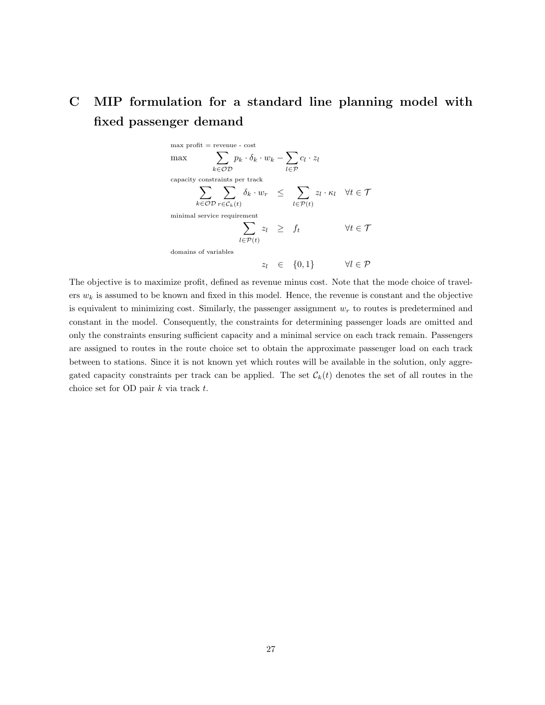# <span id="page-26-0"></span>C MIP formulation for a standard line planning model with fixed passenger demand

 $\max$  profit = revenue -  $\cos\!t$  $\max$   $\sum$ k∈OD  $p_k \cdot \delta_k \cdot w_k - \sum$ l∈P  $c_l \cdot z_l$ capacity constraints per track  $\sum$ k∈OD  $\sum$  $r \in \mathcal{C}_k(t)$  $\delta_k \cdot w_r \quad \leq \quad \sum$  $l \in \mathcal{P}(t)$  $z_l \cdot \kappa_l \quad \forall t \in \mathcal{T}$ minimal service requirement  $\sum$  $l \in \mathcal{P}(t)$  $z_l \geq f_t \qquad \qquad \forall t \in \mathcal{T}$ domains of variable  $z_l \in \{0, 1\} \qquad \forall l \in \mathcal{P}$ 

The objective is to maximize profit, defined as revenue minus cost. Note that the mode choice of travelers  $w_k$  is assumed to be known and fixed in this model. Hence, the revenue is constant and the objective is equivalent to minimizing cost. Similarly, the passenger assignment  $w_r$  to routes is predetermined and constant in the model. Consequently, the constraints for determining passenger loads are omitted and only the constraints ensuring sufficient capacity and a minimal service on each track remain. Passengers are assigned to routes in the route choice set to obtain the approximate passenger load on each track between to stations. Since it is not known yet which routes will be available in the solution, only aggregated capacity constraints per track can be applied. The set  $\mathcal{C}_k(t)$  denotes the set of all routes in the choice set for OD pair  $k$  via track  $t$ .